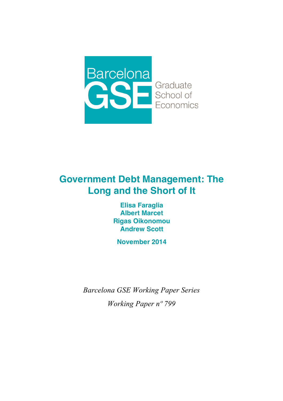

# **Government Debt Management: The Long and the Short of It**

**Elisa Faraglia Albert Marcet Rigas Oikonomou Andrew Scott** 

**November 2014**

*Barcelona GSE Working Paper Series Working Paper nº 799*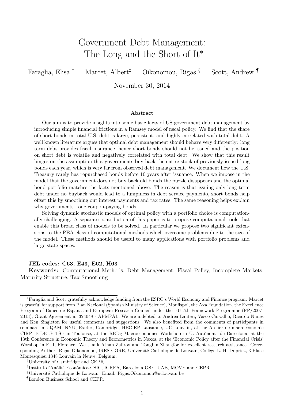# Government Debt Management: The Long and the Short of It<sup>\*</sup>

Faraglia, Elisa † Marcet, Albert‡ Oikonomou, Rigas § Scott, Andrew ¶

November 30, 2014

#### Abstract

Our aim is to provide insights into some basic facts of US government debt management by introducing simple financial frictions in a Ramsey model of fiscal policy. We find that the share of short bonds in total U.S. debt is large, persistent, and highly correlated with total debt. A well known literature argues that optimal debt management should behave very differently: long term debt provides fiscal insurance, hence short bonds should not be issued and the position on short debt is volatile and negatively correlated with total debt. We show that this result hinges on the assumption that governments buy back the entire stock of previously issued long bonds each year, which is very far from observed debt management. We document how the U.S. Treasury rarely has repurchased bonds before 10 years after issuance. When we impose in the model that the government does not buy back old bonds the puzzle disappears and the optimal bond portfolio matches the facts mentioned above. The reason is that issuing only long term debt under no buyback would lead to a lumpiness in debt service payments, short bonds help offset this by smoothing out interest payments and tax rates. The same reasoning helps explain why governments issue coupon-paying bonds.

Solving dynamic stochastic models of optimal policy with a portfolio choice is computationally challenging. A separate contribution of this paper is to propose computational tools that enable this broad class of models to be solved. In particular we propose two significant extensions to the PEA class of computational methods which overcome problems due to the size of the model. These methods should be useful to many applications with portfolio problems and large state spaces.

#### JEL codes: C63, E43, E62, H63

Keywords: Computational Methods, Debt Management, Fiscal Policy, Incomplete Markets, Maturity Structure, Tax Smoothing

<sup>∗</sup>Faraglia and Scott gratefully acknowledge funding from the ESRC's World Economy and Finance program. Marcet is grateful for support from Plan Nacional (Spanish Ministry of Science), Monfispol, the Axa Foundation, the Excellence Program of Banco de España and European Research Council under the EU 7th Framework Programme (FP/2007-2013), Grant Agreement n. 324048 - APMPAL. We are indebted to Andrea Lanteri, Vasco Carvalho, Ricardo Nunes and Ken Singleton for useful comments and suggestions. We also benefited from the comments of participants in seminars in UQAM, NYU, Exeter, Cambridge, HEC-EP Lausanne, UC Louvain, at the Atelier de macroeconomie CIRPEE-DEEP-TSE in Toulouse, at the REDg Macroeconomics Workshop in U. Autònoma de Barcelona, at the 13th Conference in Economic Theory and Econometrics in Naxos, at the 'Economic Policy after the Financial Crisis' Worshop in EUI, Florence. We thank Athan Zafirov and Tongbin Zhangfor for excellent research assistance. Corresponding Author: Rigas Oikonomou, IRES-CORE, Université Catholique de Louvain, Collège L. H. Dupriez, 3 Place Montesquieu 1348 Louvain la Neuve, Belgium.

<sup>†</sup>University of Cambridge and CEPR.

<sup>&</sup>lt;sup>‡</sup>Institut d'Anàlisi Econòmica-CSIC, ICREA, Barcelona GSE, UAB, MOVE and CEPR.

<sup>&</sup>lt;sup>§</sup>Université Catholique de Louvain. Email: Rigas.Oikonomou@uclouvain.be

<sup>¶</sup>London Business School and CEPR.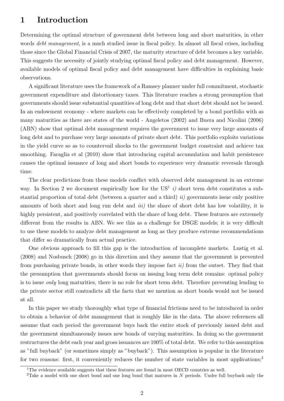# 1 Introduction

Determining the optimal structure of government debt between long and short maturities, in other words *debt management*, is a much studied issue in fiscal policy. In almost all fiscal crises, including those since the Global Financial Crisis of 2007, the maturity structure of debt becomes a key variable. This suggests the necessity of jointly studying optimal fiscal policy and debt management. However, available models of optimal fiscal policy and debt management have difficulties in explaining basic observations.

A significant literature uses the framework of a Ramsey planner under full commitment, stochastic government expenditure and distortionary taxes. This literature reaches a strong presumption that governments should issue substantial quantities of long debt and that short debt should not be issued. In an endowment economy - where markets can be effectively completed by a bond portfolio with as many maturities as there are states of the world - Angeletos (2002) and Buera and Nicolini (2006) (ABN) show that optimal debt management requires the government to issue very large amounts of long debt and to purchase very large amounts of private short debt. This portfolio exploits variations in the yield curve so as to countervail shocks to the government budget constraint and achieve tax smoothing. Faraglia et al (2010) show that introducing capital accumulation and habit persistence causes the optimal issuance of long and short bonds to experience very dramatic reversals through time.

The clear predictions from these models conflict with observed debt management in an extreme way. In Section 2 we document empirically how for the  $US^1$  $US^1$  *i*) short term debt constitutes a substantial proportion of total debt (between a quarter and a third)  $ii)$  governments issue only positive amounts of both short and long run debt and *iii*) the share of short debt has low volatility, it is highly persistent, and positively correlated with the share of long debt. These features are extremely different from the results in ABN. We see this as a challenge for DSGE models; it is very difficult to use these models to analyze debt management as long as they produce extreme recommendations that differ so dramatically from actual practice.

One obvious approach to fill this gap is the introduction of incomplete markets. Lustig et al. (2008) and Nosbusch (2008) go in this direction and they assume that the government is prevented from purchasing private bonds, in other words they impose fact  $ii$ ) from the outset. They find that the presumption that governments should focus on issuing long term debt remains: optimal policy is to issue only long maturities, there is no role for short term debt. Therefore preventing lending to the private sector still contradicts all the facts that we mention as short bonds would not be issued at all.

In this paper we study thoroughly what type of financial frictions need to be introduced in order to obtain a behavior of debt management that is roughly like in the data. The above references all assume that each period the government buys back the entire stock of previously issued debt and the government simultaneously issues new bonds of varying maturities. In doing so the government restructures the debt each year and gross issuances are 100% of total debt. We refer to this assumption as "full buyback" (or sometimes simply as "buyback"). This assumption is popular in the literature for two reasons: first, it conveniently reduces the number of state variables in most applications;<sup>[2](#page-2-1)</sup>

<span id="page-2-0"></span><sup>&</sup>lt;sup>1</sup>The evidence available suggests that these features are found in most OECD countries as well.

<span id="page-2-1"></span><sup>&</sup>lt;sup>2</sup>Take a model with one short bond and one long bond that matures in N periods. Under full buyback only the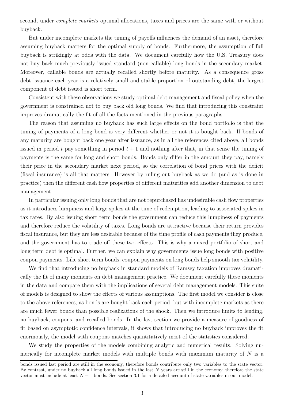second, under *complete markets* optimal allocations, taxes and prices are the same with or without buyback.

But under incomplete markets the timing of payoffs influences the demand of an asset, therefore assuming buyback matters for the optimal supply of bonds. Furthermore, the assumption of full buyback is strikingly at odds with the data. We document carefully how the U.S. Treasury does not buy back much previously issued standard (non-callable) long bonds in the secondary market. Moreover, callable bonds are actually recalled shortly before maturity. As a consequence gross debt issuance each year is a relatively small and stable proportion of outstanding debt, the largest component of debt issued is short term.

Consistent with these observations we study optimal debt management and fiscal policy when the government is constrained not to buy back old long bonds. We find that introducing this constraint improves dramatically the fit of all the facts mentioned in the previous paragraphs.

The reason that assuming no buyback has such large effects on the bond portfolio is that the timing of payments of a long bond is very different whether or not it is bought back. If bonds of any maturity are bought back one year after issuance, as in all the references cited above, all bonds issued in period t pay something in period  $t + 1$  and nothing after that, in that sense the timing of payments is the same for long and short bonds. Bonds only differ in the amount they pay, namely their price in the secondary market next period, so the correlation of bond prices with the deficit (fiscal insurance) is all that matters. However by ruling out buyback as we do (and as is done in practice) then the different cash flow properties of different maturities add another dimension to debt management.

In particular issuing only long bonds that are not repurchased has undesirable cash flow properties as it introduces lumpiness and large spikes at the time of redemption, leading to associated spikes in tax rates. By also issuing short term bonds the government can reduce this lumpiness of payments and therefore reduce the volatility of taxes. Long bonds are attractive because their return provides fiscal insurance, but they are less desirable because of the time profile of cash payments they produce, and the government has to trade off these two effects. This is why a mixed portfolio of short and long term debt is optimal. Further, we can explain why governments issue long bonds with positive coupon payments. Like short term bonds, coupon payments on long bonds help smooth tax volatility.

We find that introducing no buyback in standard models of Ramsey taxation improves dramatically the fit of many moments on debt management practice. We document carefully these moments in the data and compare them with the implications of several debt management models. This suite of models is designed to show the effects of various assumptions. The first model we consider is close to the above references, as bonds are bought back each period, but with incomplete markets as there are much fewer bonds than possible realizations of the shock. Then we introduce limits to lending, no buyback, coupons, and recalled bonds. In the last section we provide a measure of goodness of fit based on asymptotic confidence intervals, it shows that introducing no buyback improves the fit enormously, the model with coupons matches quantitatively most of the statistics considered.

We study the properties of the models combining analytic and numerical results. Solving numerically for incomplete market models with multiple bonds with maximum maturity of  $N$  is a

bonds issued last period are still in the economy, therefore bonds contribute only two variables to the state vector. By contrast, under no buyback all long bonds issued in the last  $N$  years are still in the economy, therefore the state vector must include at least  $N+1$  bonds. See section 3.1 for a detailed account of state variables in our model.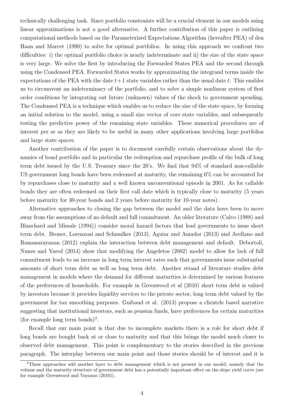technically challenging task. Since portfolio constraints will be a crucial element in our models using linear approximations is not a good alternative. A further contribution of this paper is outlining computational methods based on the Parameterized Expectations Algorithm (hereafter PEA) of den Haan and Marcet (1990) to solve for optimal portfolios. In using this approach we confront two difficulties: i) the optimal portfolio choice is nearly indeterminate and ii) the size of the state space is very large. We solve the first by introducing the Forwarded States PEA and the second through using the Condensed PEA. Forwarded States works by approximating the integrand terms inside the expectations of the PEA with the date  $t+1$  state variables rather than the usual date t. This enables us to circumvent an indeterminacy of the portfolio, and to solve a simple nonlinear system of first order conditions by integrating out future (unknown) values of the shock to government spending. The Condensed PEA is a technique which enables us to reduce the size of the state space, by forming an initial solution to the model, using a small size vector of core state variables, and subsequently testing the predictive power of the remaining state variables. These numerical procedures are of interest per se as they are likely to be useful in many other applications involving large portfolios and large state spaces.

Another contribution of the paper is to document carefully certain observations about the dynamics of bond portfolio and in particular the redemption and repurchase profile of the bulk of long term debt issued by the U.S. Treasury since the 20's. We find that 94% of standard non-callable US government long bonds have been redeemed at maturity, the remaining 6% can be accounted for by repurchases close to maturity and a well known unconventional episode in 2001. As for callable bonds they are often redeemed on their first call date which is typically close to maturity (5 years before maturity for 30-year bonds and 2 years before maturity for 10-year notes).

Alternative approaches to closing the gap between the model and the data have been to move away from the assumptions of no default and full commitment. An older literature (Calvo (1988) and Blanchard and Missale (1994)) consider moral hazard factors that lead governments to issue short term debt. Broner, Lorenzoni and Schmulker (2013), Aguiar and Amador (2013) and Arellano and Ramanarayanan (2012) explain the interaction between debt management and default. Debortoli, Nunes and Yared (2014) show that modifying the Angeletos (2002) model to allow for lack of full commitment leads to an increase in long term interest rates such that governments issue substantial amounts of short term debt as well as long term debt. Another strand of literature studies debt management in models where the demand for different maturities is determined by various features of the preferences of households. For example in Greenwood et al (2010) short term debt is valued by investors because it provides liquidity services to the private sector, long term debt valued by the government for tax smoothing purposes. Guibaud et al. (2013) propose a clientele based narrative suggesting that institutional investors, such as pension funds, have preferences for certain maturities (for example long term bonds)<sup>[3](#page-4-0)</sup>.

Recall that our main point is that due to incomplete markets there is a role for short debt if long bonds are bought back at or close to maturity and that this brings the model much closer to observed debt management. This point is complementary to the stories described in the previous paragraph. The interplay between our main point and those stories should be of interest and it is

<span id="page-4-0"></span><sup>&</sup>lt;sup>3</sup>These approaches add another layer to debt management which is not present in our model, namely that the volume and the maturity structure of government debt has a potentially important effect on the slope yield curve (see for example Greenwood and Vayanos (2010)).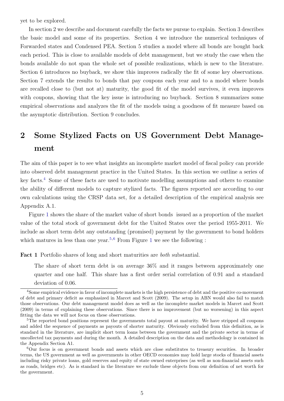yet to be explored.

In section 2 we describe and document carefully the facts we pursue to explain. Section 3 describes the basic model and some of its properties. Section 4 we introduce the numerical techniques of Forwarded states and Condensed PEA. Section 5 studies a model where all bonds are bought back each period. This is close to available models of debt management, but we study the case when the bonds available do not span the whole set of possible realizations, which is new to the literature. Section 6 introduces no buyback, we show this improves radically the fit of some key observations. Section 7 extends the results to bonds that pay coupons each year and to a model where bonds are recalled close to (but not at) maturity, the good fit of the model survives, it even improves with coupons, showing that the key issue is introducing no buyback. Section 8 summarizes some empirical observations and analyzes the fit of the models using a goodness of fit measure based on the asymptotic distribution. Section 9 concludes.

# <span id="page-5-3"></span>2 Some Stylized Facts on US Government Debt Management

The aim of this paper is to see what insights an incomplete market model of fiscal policy can provide into observed debt management practice in the United States. In this section we outline a series of key facts.[4](#page-5-0) Some of these facts are used to motivate modelling assumptions and others to examine the ability of different models to capture stylized facts. The figures reported are according to our own calculations using the CRSP data set, for a detailed description of the empirical analysis see Appendix A.1.

Figure [1](#page-41-0) shows the share of the market value of short bonds issued as a proportion of the market value of the total stock of government debt for the United States over the period 1955-2011. We include as short term debt any outstanding (promised) payment by the government to bond holders which matures in less than one year.<sup>[5](#page-5-1),[6](#page-5-2)</sup> From Figure [1](#page-41-0) we see the following :

Fact 1 Portfolio shares of long and short maturities are both substantial.

The share of short term debt is on average 36% and it ranges between approximately one quarter and one half. This share has a first order serial correlation of 0.91 and a standard deviation of 0.06.

<span id="page-5-0"></span><sup>4</sup>Some empirical evidence in favor of incomplete markets is the high persistence of debt and the positive co-movement of debt and primary deficit as emphasized in Marcet and Scott (2009). The setup in ABN would also fail to match those observations. Our debt management model does as well as the incomplete market models in Marcet and Scott (2009) in terms of explaining these observations. Since there is no improvement (but no worsening) in this aspect fitting the data we will not focus on these observations.

<span id="page-5-1"></span><sup>&</sup>lt;sup>5</sup>The reported bond positions represent the governments total payout at maturity. We have stripped all coupons and added the sequence of payments as payouts of shorter maturity. Obviously excluded from this definition, as is standard in the literature, are implicit short term loans between the government and the private sector in terms of uncollected tax payments and during the month. A detailed description on the data and methodology is contained in the Appendix Section A1.

<span id="page-5-2"></span><sup>6</sup>Our focus is on government bonds and assets which are close substitutes to treasury securities. In broader terms, the US government as well as governments in other OECD economies may hold large stocks of financial assets including risky private loans, gold reserves and equity of state owned enterprises (as well as non-financial assets such as roads, bridges etc). As is standard in the literature we exclude these objects from our definition of net worth for the government.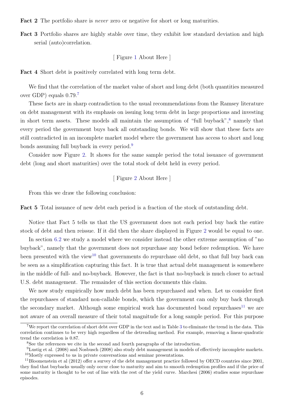Fact 2 The portfolio share is *never* zero or negative for short or long maturities.

Fact 3 Portfolio shares are highly stable over time, they exhibit low standard deviation and high serial (auto)correlation.

# [ Figure [1](#page-41-0) About Here ]

Fact 4 Short debt is positively correlated with long term debt.

We find that the correlation of the market value of short and long debt (both quantities measured over GDP) equals 0.79.[7](#page-6-0)

These facts are in sharp contradiction to the usual recommendations from the Ramsey literature on debt management with its emphasis on issuing long term debt in large proportions and investing in short term assets. These models all maintain the assumption of "full buyback",<sup>[8](#page-6-1)</sup> namely that every period the government buys back all outstanding bonds. We will show that these facts are still contradicted in an incomplete market model where the government has access to short and long bonds assuming full buyback in every period.[9](#page-6-2)

Consider now Figure [2.](#page-42-0) It shows for the same sample period the total issuance of government debt (long and short maturities) over the total stock of debt held in every period.

[ Figure [2](#page-42-0) About Here ]

From this we draw the following conclusion:

Fact 5 Total issuance of new debt each period is a fraction of the stock of outstanding debt.

Notice that Fact 5 tells us that the US government does not each period buy back the entire stock of debt and then reissue. If it did then the share displayed in Figure [2](#page-42-0) would be equal to one.

In section [6.2](#page-21-0) we study a model where we consider instead the other extreme assumption of "no buyback", namely that the government does not repurchase any bond before redemption. We have been presented with the view<sup>[10](#page-6-3)</sup> that governments do repurchase old debt, so that full buy back can be seen as a simplification capturing this fact. It is true that actual debt management is somewhere in the middle of full- and no-buyback. However, the fact is that no-buyback is much closer to actual U.S. debt management. The remainder of this section documents this claim.

We now study empirically how much debt has been repurchased and when. Let us consider first the repurchases of standard non-callable bonds, which the government can only buy back through the secondary market. Although some empirical work has documented bond repurchases<sup>[11](#page-6-4)</sup> we are not aware of an overall measure of their total magnitude for a long sample period. For this purpose

<span id="page-6-0"></span><sup>7</sup>We report the correlation of short debt over GDP in the text and in Table [3](#page-39-0) to eliminate the trend in the data. This correlation continues to be very high regardless of the detrending method. For example, removing a linear-quadratic trend the correlation is 0.87.

<span id="page-6-2"></span><span id="page-6-1"></span><sup>8</sup>See the references we cite in the second and fourth paragraphs of the introduction.

<span id="page-6-3"></span> $^{9}$ Lustig et al. (2008) and Nosbusch (2008) also study debt management in models of effectively incomplete markets. <sup>10</sup>Mostly expressed to us in private conversations and seminar presentations.

<span id="page-6-4"></span><sup>&</sup>lt;sup>11</sup>Bloomenstein et al  $(2012)$  offer a survey of the debt management practice followed by OECD countries since  $2001$ . they find that buybacks usually only occur close to maturity and aim to smooth redemption profiles and if the price of some maturity is thought to be out of line with the rest of the yield curve. Marchesi (2006) studies some repurchase episodes.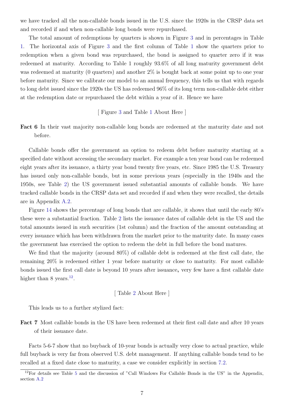we have tracked all the non-callable bonds issued in the U.S. since the 1920s in the CRSP data set and recorded if and when non-callable long bonds were repurchased.

The total amount of redemptions by quarters is shown in Figure [3](#page-43-0) and in percentages in Table [1.](#page-37-0) The horizontal axis of Figure [3](#page-43-0) and the first column of Table [1](#page-37-0) show the quarters prior to redemption when a given bond was repurchased, the bond is assigned to quarter zero if it was redeemed at maturity. According to Table 1 roughly 93.6% of all long maturity government debt was redeemed at maturity (0 quarters) and another  $2\%$  is bought back at some point up to one year before maturity. Since we calibrate our model to an annual frequency, this tells us that with regards to long debt issued since the 1920s the US has redeemed 96% of its long term non-callable debt either at the redemption date or repurchased the debt within a year of it. Hence we have

[ Figure [3](#page-43-0) and Table [1](#page-37-0) About Here ]

Fact 6 In their vast majority non-callable long bonds are redeemed at the maturity date and not before.

Callable bonds offer the government an option to redeem debt before maturity starting at a specified date without accessing the secondary market. For example a ten year bond can be redeemed eight years after its issuance, a thirty year bond twenty five years, etc. Since 1985 the U.S. Treasury has issued only non-callable bonds, but in some previous years (especially in the 1940s and the 1950s, see Table [2\)](#page-38-0) the US government issued substantial amounts of callable bonds. We have tracked callable bonds in the CRSP data set and recorded if and when they were recalled, the details are in Appendix [A.2.](#page-34-0)

Figure [14](#page-54-0) shows the percentage of long bonds that are callable, it shows that until the early 80's these were a substantial fraction. Table [2](#page-38-0) lists the issuance dates of callable debt in the US and the total amounts issued in such securities (1st column) and the fraction of the amount outstanding at every issuance which has been withdrawn from the market prior to the maturity date. In many cases the government has exercised the option to redeem the debt in full before the bond matures.

We find that the majority (around 80%) of callable debt is redeemed at the first call date, the remaining 20% is redeemed either 1 year before maturity or close to maturity. For most callable bonds issued the first call date is beyond 10 years after issuance, very few have a first callable date higher than 8 years. $^{12}$  $^{12}$  $^{12}$ .

[ Table [2](#page-38-0) About Here ]

This leads us to a further stylized fact:

Fact 7 Most callable bonds in the US have been redeemed at their first call date and after 10 years of their issuance date.

Facts 5-6-7 show that no buyback of 10-year bonds is actually very close to actual practice, while full buyback is very far from observed U.S. debt management. If anything callable bonds tend to be recalled at a fixed date close to maturity, a case we consider explicitly in section [7.2.](#page-27-0)

<span id="page-7-0"></span><sup>&</sup>lt;sup>12</sup>For details see Table [5](#page-40-0) and the discussion of "Call Windows For Callable Bonds in the US" in the Appendix, section [A.2](#page-34-0)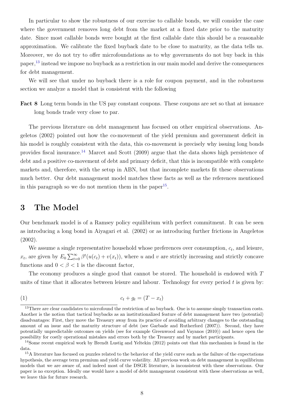In particular to show the robustness of our exercise to callable bonds, we will consider the case where the government removes long debt from the market at a fixed date prior to the maturity date. Since most callable bonds were bought at the first callable date this should be a reasonable approximation. We calibrate the fixed buyback date to be close to maturity, as the data tells us. Moreover, we do not try to offer microfoundations as to why governments do not buy back in this paper,[13](#page-8-0) instead we impose no buyback as a restriction in our main model and derive the consequences for debt management.

We will see that under no buyback there is a role for coupon payment, and in the robustness section we analyze a model that is consistent with the following

Fact 8 Long term bonds in the US pay constant coupons. These coupons are set so that at issuance long bonds trade very close to par.

The previous literature on debt management has focused on other empirical observations. Angeletos (2002) pointed out how the co-movement of the yield premium and government deficit in his model is roughly consistent with the data, this co-movement is precisely why issuing long bonds provides fiscal insurance.[14](#page-8-1) Marcet and Scott (2009) argue that the data shows high persistence of debt and a positive co-movement of debt and primary deficit, that this is incompatible with complete markets and, therefore, with the setup in ABN, but that incomplete markets fit these observations much better. Our debt management model matches these facts as well as the references mentioned in this paragraph so we do not mention them in the paper<sup>[15](#page-8-2)</sup>.

# 3 The Model

Our benchmark model is of a Ramsey policy equilibrium with perfect commitment. It can be seen as introducing a long bond in Aiyagari et al. (2002) or as introducing further frictions in Angeletos (2002).

We assume a single representative household whose preferences over consumption,  $c_t$ , and leisure,  $x_t$ , are given by  $E_0 \sum_{t=0}^{\infty} \beta^t(u(c_t) + v(x_t))$ , where u and v are strictly increasing and strictly concave functions and  $0 < \beta < 1$  is the discount factor,

The economy produces a single good that cannot be stored. The household is endowed with T units of time that it allocates between leisure and labour. Technology for every period  $t$  is given by:

<span id="page-8-3"></span>
$$
(1) \t c_t + g_t = (T - x_t)
$$

<span id="page-8-0"></span><sup>&</sup>lt;sup>13</sup>There are clear candidates to microfound the restriction of no buyback. One is to assume simply transaction costs. Another is the notion that tactical buybacks as an institutionalized feature of debt management have two (potential) disadvantages: First, they move the Treasury away from its practice of avoiding arbitrary changes to the outstanding amount of an issue and the maturity structure of debt (see Garbade and Rutherford (2007)). Second, they have potentially unpredictable outcomes on yields (see for example Greenwood and Vayanos (2010)) and hence open the possibility for costly operational mistakes and errors both by the Treasury and by market participants.

<span id="page-8-1"></span><sup>&</sup>lt;sup>14</sup>Some recent empirical work by Brendt Lustig and Yeltekin (2012) points out that this mechanism is found in the data.

<span id="page-8-2"></span><sup>&</sup>lt;sup>15</sup>A literature has focused on puzzles related to the behavior of the yield curve such as the failure of the expectations hypothesis, the average term premium and yield curve volatility. All previous work on debt management in equilibrium models that we are aware of, and indeed most of the DSGE literature, is inconsistent with these observations. Our paper is no exception. Ideally one would have a model of debt management consistent with these observations as well, we leave this for future research.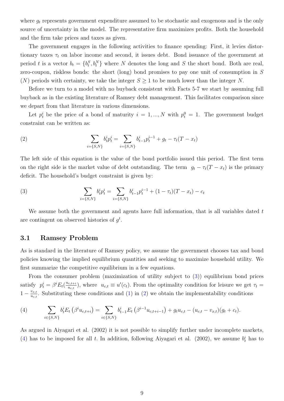where  $g_t$  represents government expenditure assumed to be stochastic and exogenous and is the only source of uncertainty in the model. The representative firm maximizes profits. Both the household and the firm take prices and taxes as given.

The government engages in the following activities to finance spending: First, it levies distortionary taxes  $\tau_t$  on labor income and second, it issues debt. Bond issuance of the government at period t is a vector  $b_t = \{b_t^S, b_t^N\}$  where N denotes the long and S the short bond. Both are real, zero-coupon, riskless bonds: the short (long) bond promises to pay one unit of consumption in S (N) periods with certainty, we take the integer  $S \geq 1$  to be much lower than the integer N.

Before we turn to a model with no buyback consistent with Facts 5-7 we start by assuming full buyback as in the existing literature of Ramsey debt management. This facilitates comparison since we depart from that literature in various dimensions.

Let  $p_t^i$  be the price of a bond of maturity  $i = 1, ..., N$  with  $p_t^0 = 1$ . The government budget constraint can be written as:

<span id="page-9-1"></span>(2) 
$$
\sum_{i=\{S,N\}} b_t^i p_t^i = \sum_{i=\{S,N\}} b_{t-1}^i p_t^{i-1} + g_t - \tau_t (T - x_t)
$$

The left side of this equation is the value of the bond portfolio issued this period. The first term on the right side is the market value of debt outstanding. The term  $g_t - \tau_t(T - x_t)$  is the primary deficit. The household's budget constraint is given by:

<span id="page-9-0"></span>(3) 
$$
\sum_{i=\{S,N\}} b_t^i p_t^i = \sum_{i=\{S,N\}} b_{t-1}^i p_t^{i-1} + (1 - \tau_t)(T - x_t) - c_t
$$

We assume both the government and agents have full information, that is all variables dated  $t$ are contingent on observed histories of  $g^t$ .

### <span id="page-9-3"></span>3.1 Ramsey Problem

As is standard in the literature of Ramsey policy, we assume the government chooses tax and bond policies knowing the implied equilibrium quantities and seeking to maximize household utility. We first summarize the competitive equilibrium in a few equations.

From the consumer problem (maximization of utility subject to [\(3\)](#page-9-0)) equilibrium bond prices satisfy  $p_t^i = \beta^i E_t(\frac{u_{c,t+i}}{u_{c,t}})$  $(u_{u_{c,t}})$ , where  $u_{c,t} \equiv u'(c_t)$ . From the optimality condition for leisure we get  $\tau_t =$  $1-\frac{v_{x,t}}{u}$  $\frac{v_{x,t}}{u_{c,t}}$ . Substituting these conditions and [\(1\)](#page-8-3) in [\(2\)](#page-9-1) we obtain the implementability conditions

<span id="page-9-2"></span>(4) 
$$
\sum_{i \in \{S,N\}} b_t^i E_t \left( \beta^i u_{c,t+i} \right) = \sum_{i \in \{S,N\}} b_{t-1}^i E_t \left( \beta^{i-1} u_{c,t+i-1} \right) + g_t u_{c,t} - (u_{c,t} - v_{x,t})(g_t + c_t).
$$

As argued in Aiyagari et al. (2002) it is not possible to simplify further under incomplete markets, [\(4\)](#page-9-2) has to be imposed for all t. In addition, following Aiyagari et al. (2002), we assume  $b_t^i$  has to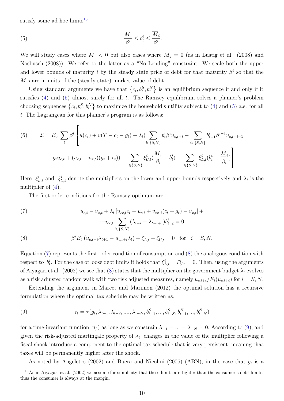satisfy some ad hoc limits<sup>[16](#page-10-0)</sup>

(5) 
$$
\frac{M_i}{\beta^i} \le b_t^i \le \frac{\overline{M}_i}{\beta^i}
$$

We will study cases where  $M_i < 0$  but also cases where  $M_i = 0$  (as in Lustig et al. (2008) and Nosbusch (2008)). We refer to the latter as a "No Lending" constraint. We scale both the upper and lower bounds of maturity i by the steady state price of debt for that maturity  $\beta^i$  so that the M's are in units of the (steady state) market value of debt.

<span id="page-10-1"></span>.

Using standard arguments we have that  $\{c_t, b_t^S, b_t^N\}$  is an equilibrium sequence if and only if it satisfies  $(4)$  and  $(5)$  almost surely for all t. The Ramsey equilibrium solves a planner's problem choosing sequences  $\{c_t, b_t^S, b_t^N\}$  to maximize the household's utility subject to [\(4\)](#page-9-2) and [\(5\)](#page-10-1) a.s. for all t. The Lagrangean for this planner's program is as follows:

<span id="page-10-5"></span>(6) 
$$
\mathcal{L} = E_0 \sum_t \beta^t \left[ u(c_t) + v(T - c_t - g_t) - \lambda_t (\sum_{i \in \{S, N\}} b_t^i \beta^i u_{c, t+i} - \sum_{i \in \{S, N\}} b_{t-1}^i \beta^{i-1} u_{c, t+i-1}) \right. \\ - g_t u_{c,t} + (u_{c,t} - v_{x,t})(g_t + c_t)) + \sum_{i \in \{S, N\}} \xi_{U,t}^i (\frac{\overline{M}_i}{\beta_i} - b_t^i) + \sum_{i \in \{S, N\}} \xi_{L,t}^i (b_t^i - \frac{\underline{M}_i}{\beta_i}) \right].
$$

Here  $\xi_{L,t}^i$  and  $\xi_{U,t}^i$  denote the multipliers on the lower and upper bounds respectively and  $\lambda_t$  is the multiplier of [\(4\)](#page-9-2).

The first order conditions for the Ramsey optimum are:

<span id="page-10-2"></span>(7) 
$$
u_{c,t} - v_{x,t} + \lambda_t \left[ u_{cc,t}c_t + u_{c,t} + v_{xx,t}(c_t + g_t) - v_{x,t} \right] +
$$

$$
+ u_{cc,t} \sum_{i \in \{S,N\}} (\lambda_{t-i} - \lambda_{t-i+1})b_{t-i}^i = 0
$$

<span id="page-10-3"></span>(8) 
$$
\beta^{i} E_{t} \left( u_{c,t+i} \lambda_{t+1} - u_{c,t+i} \lambda_{t} \right) + \xi_{L,t}^{i} - \xi_{U,t}^{i} = 0 \text{ for } i = S, N.
$$

Equation [\(7\)](#page-10-2) represents the first order condition of consumption and [\(8\)](#page-10-3) the analogous condition with respect to  $b_t^i$ . For the case of loose debt limits it holds that  $\xi_{L,t}^i = \xi_{U,t}^i = 0$ . Then, using the arguments of Aiyagari et al. (2002) we see that [\(8\)](#page-10-3) states that the multiplier on the government budget  $\lambda_t$  evolves as a risk adjusted random walk with two risk adjusted measures, namely  $u_{c,t+i}/E_t(u_{c,t+i})$  for  $i = S, N$ .

Extending the argument in Marcet and Marimon (2012) the optimal solution has a recursive formulation where the optimal tax schedule may be written as:

<span id="page-10-4"></span>(9) 
$$
\tau_t = \tau(g_t, \lambda_{t-1}, \lambda_{t-2}, \dots, \lambda_{t-N}, b_{t-1}^S, \dots, b_{t-S}^S, b_{t-1}^N, \dots, b_{t-N}^N)
$$

for a time-invariant function  $\tau(\cdot)$  as long as we constrain  $\lambda_{-1} = ... = \lambda_{-N} = 0$ . According to [\(9\)](#page-10-4), and given the risk-adjusted martingale property of  $\lambda_t$ , changes in the value of the multiplier following a fiscal shock introduce a component to the optimal tax schedule that is very persistent, meaning that taxes will be permanently higher after the shock.

As noted by Angeletos (2002) and Buera and Nicolini (2006) (ABN), in the case that  $g_t$  is a

<span id="page-10-0"></span> $16\text{As}$  in Aiyagari et al. (2002) we assume for simplicity that these limits are tighter than the consumer's debt limits, thus the consumer is always at the margin.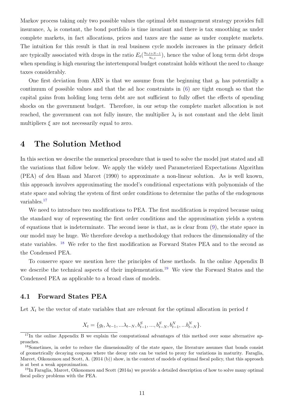Markov process taking only two possible values the optimal debt management strategy provides full insurance,  $\lambda_t$  is constant, the bond portfolio is time invariant and there is tax smoothing as under complete markets, in fact allocations, prices and taxes are the same as under complete markets. The intuition for this result is that in real business cycle models increases in the primary deficit are typically associated with drops in the ratio  $E_t\left(\frac{u_{c,t+N-1}}{u_{c,t}}\right)$  $\frac{t+N-1}{u_{c,t}}$ , hence the value of long term debt drops when spending is high ensuring the intertemporal budget constraint holds without the need to change taxes considerably.

One first deviation from ABN is that we assume from the beginning that  $q_t$  has potentially a continuum of possible values and that the ad hoc constraints in [\(6\)](#page-10-5) are tight enough so that the capital gains from holding long term debt are not sufficient to fully offset the effects of spending shocks on the government budget. Therefore, in our setup the complete market allocation is not reached, the government can not fully insure, the multiplier  $\lambda_t$  is not constant and the debt limit multipliers  $\xi$  are not necessarily equal to zero.

# <span id="page-11-4"></span>4 The Solution Method

In this section we describe the numerical procedure that is used to solve the model just stated and all the variations that follow below. We apply the widely used Parameterized Expectations Algorithm (PEA) of den Haan and Marcet (1990) to approximate a non-linear solution. As is well known, this approach involves approximating the model's conditional expectations with polynomials of the state space and solving the system of first order conditions to determine the paths of the endogenous variables.[17](#page-11-0)

We need to introduce two modifications to PEA. The first modification is required because using the standard way of representing the first order conditions and the approximation yields a system of equations that is indeterminate. The second issue is that, as is clear from [\(9\)](#page-10-4), the state space in our model may be huge. We therefore develop a methodology that reduces the dimensionality of the state variables. [18](#page-11-1) We refer to the first modification as Forward States PEA and to the second as the Condensed PEA.

To conserve space we mention here the principles of these methods. In the online Appendix B we describe the technical aspects of their implementation.<sup>[19](#page-11-2)</sup> We view the Forward States and the Condensed PEA as applicable to a broad class of models.

### <span id="page-11-3"></span>4.1 Forward States PEA

Let  $X_t$  be the vector of state variables that are relevant for the optimal allocation in period t

$$
X_t = \{g_t, \lambda_{t-1}, \ldots, \lambda_{t-N}, b_{t-1}^S, \ldots, b_{t-N}^S, b_{t-1}^N, \ldots, b_{t-N}^N\}.
$$

<span id="page-11-0"></span> $17$ In the online Appendix B we explain the computational advantages of this method over some alternative approaches.

<span id="page-11-1"></span><sup>&</sup>lt;sup>18</sup>Sometimes, in order to reduce the dimensionality of the state space, the literature assumes that bonds consist of geometrically decaying coupons where the decay rate can be varied to proxy for variations in maturity. Faraglia, Marcet, Oikonomou and Scott, A. (2014 (b)) show, in the context of models of optimal fiscal policy, that this approach is at best a weak approximation.

<span id="page-11-2"></span> $19$ In Faraglia, Marcet, Oikonomou and Scott (2014a) we provide a detailed description of how to solve many optimal fiscal policy problems with the PEA.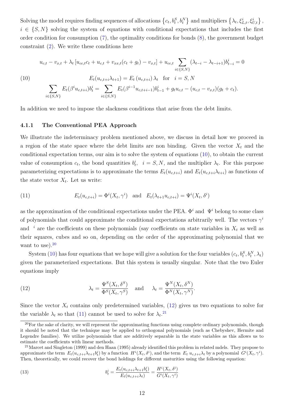Solving the model requires finding sequences of allocations  $\left\{c_t, b_t^S, b_t^N\right\}$  and multipliers  $\left\{\lambda_t, \xi_{L,t}^i, \xi_{U,t}^i\right\}$ ,  $i \in \{S, N\}$  solving the system of equations with conditional expectations that includes the first order condition for consumption [\(7\)](#page-10-2), the optimality conditions for bonds [\(8\)](#page-10-3), the government budget constraint [\(2\)](#page-9-1). We write these conditions here

<span id="page-12-0"></span>(10)  
\n
$$
u_{c,t} - v_{x,t} + \lambda_t \left[ u_{cc,t}c_t + u_{c,t} + v_{xx,t}(c_t + g_t) - v_{x,t} \right] + u_{cc,t} \sum_{i \in \{S,N\}} (\lambda_{t-i} - \lambda_{t-i+1})b_{t-i}^i = 0
$$
\n
$$
E_t(u_{c,t+i}\lambda_{t+1}) = E_t(u_{c,t+i})\lambda_t \quad \text{for} \quad i = S, N
$$
\n
$$
\sum_{i \in \{S,N\}} E_t(\beta^i u_{c,t+i})b_t^i = \sum_{i \in \{S,N\}} E_t(\beta^{i-1} u_{c,t+i-1})b_{t-1}^i + g_t u_{c,t} - (u_{c,t} - v_{x,t})(g_t + c_t).
$$

In addition we need to impose the slackness conditions that arise from the debt limits.

#### 4.1.1 The Conventional PEA Approach

We illustrate the indeterminacy problem mentioned above, we discuss in detail how we proceed in a region of the state space where the debt limits are non binding. Given the vector  $X_t$  and the conditional expectation terms, our aim is to solve the system of equations [\(10\)](#page-12-0), to obtain the current value of consumption  $c_t$ , the bond quantities  $b_t^i$ ,  $i = S, N$ , and the multiplier  $\lambda_t$ . For this purpose parameterizing expectations is to approximate the terms  $E_t(u_{c,t+i})$  and  $E_t(u_{c,t+i}\lambda_{t+i})$  as functions of the state vector  $X_t$ . Let us write:

<span id="page-12-3"></span>(11) 
$$
E_t(u_{c,t+i}) = \Phi^i(X_t, \gamma^i) \text{ and } E_t(\lambda_{t+1} u_{c,t+i}) = \Psi^i(X_t, \delta^i)
$$

as the approximation of the conditional expectations under the PEA.  $\Phi^i$  and  $\Psi^i$  belong to some class of polynomials that could approximate the conditional expectations arbitrarily well. The vectors  $\gamma^i$ and <sup>i</sup> are the coefficients on these polynomials (say coefficients on state variables in  $X_t$  as well as their squares, cubes and so on, depending on the order of the approximating polynomial that we want to use). $20$ 

System [\(10\)](#page-12-0) has four equations that we hope will give a solution for the four variables  $(c_t, b_t^S, b_t^N, \lambda_t)$ given the parameterized expectations. But this system is usually singular. Note that the two Euler equations imply

<span id="page-12-2"></span>(12) 
$$
\lambda_t = \frac{\Psi^S(X_t, \delta^S)}{\Phi^S(X_t, \gamma^S)} \quad \text{and} \quad \lambda_t = \frac{\Psi^N(X_t, \delta^N)}{\Phi^N(X_t, \gamma^N)}.
$$

Since the vector  $X_t$  contains only predetermined variables, [\(12\)](#page-12-2) gives us two equations to solve for the variable  $\lambda_t$  so that [\(11\)](#page-12-3) cannot be used to solve for  $\lambda_t$ .<sup>[21](#page-12-4)</sup>

(13) 
$$
b_t^i = \frac{E_t(u_{c,t+i}\lambda_{t+1}b_t^i)}{E_t(u_{c,t+i}\lambda_t)} = \frac{H^i(X_t, \delta^i)}{G^i(X_t, \gamma^i)}
$$

<span id="page-12-1"></span> $20$ For the sake of clarity, we will represent the approximating functions using complete ordinary polynomials, though it should be noted that the technique may be applied to orthogonal polynomials (such as Chebyshev, Hermite and Legendre families). We utilize polynomials that are additively separable in the state variables as this allows us to estimate the coefficients with linear methods.

<span id="page-12-4"></span> $21$ Marcet and Singleton (1999) and den Haan (1995) already identified this problem in related mdels. They propose to approximate the term  $E_t(u_{c,t+i}\lambda_{t+1}b_t^i)$  by a function  $H^i(X_t, \delta^i)$ , and the term  $E_t u_{c,t+i}\lambda_t$  by a polynomial  $G^i(X_t, \gamma^i)$ . Then, theoretically, we could recover the bond holdings for different maturities using the following equation: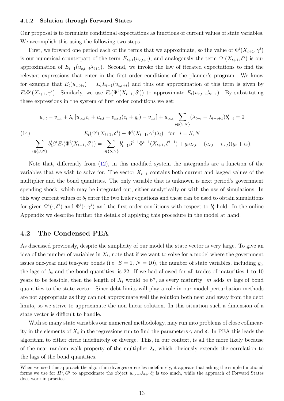#### 4.1.2 Solution through Forward States

Our proposal is to formulate conditional expectations as functions of current values of state variables. We accomplish this using the following two steps.

First, we forward one period each of the terms that we approximate, so the value of  $\Phi^{i}(X_{t+1}, \gamma^{i})$ is our numerical counterpart of the term  $E_{t+1}(u_{c,t+i})$ , and analogously the term  $\Psi^{i}(X_{t+1}, \delta^{i})$  is our approximation of  $E_{t+1}(u_{c,t+i}\lambda_{t+1})$ . Second, we invoke the law of iterated expectations to find the relevant expressions that enter in the first order conditions of the planner's program. We know for example that  $E_t(u_{c,t+i}) = E_t E_{t+1}(u_{c,t+i})$  and thus our approximation of this term is given by  $E_t\Phi^i(X_{t+1},\gamma^i)$ . Similarly, we use  $E_t(\Psi^i(X_{t+1},\delta^i))$  to approximate  $E_t(u_{c,t+i}\lambda_{t+1})$ . By substituting these expressions in the system of first order conditions we get:

$$
u_{c,t} - v_{x,t} + \lambda_t \left[ u_{cc,t}c_t + u_{c,t} + v_{xx,t}(c_t + g_t) - v_{x,t} \right] + u_{cc,t} \sum_{i \in \{S,N\}} (\lambda_{t-i} - \lambda_{t-i+1})b_{t-i}^i = 0
$$
\n
$$
(14) \qquad E_t(\Psi^i(X_{t+1}, \delta^i) - \Phi^i(X_{t+1}, \gamma^i)\lambda_t) \quad \text{for} \quad i = S, N
$$
\n
$$
\sum_{i \in \{S,N\}} b_t^i \beta^i E_t(\Phi^i(X_{t+1}, \delta^i)) = \sum_{i \in \{S,N\}} b_{t-1}^i \beta^{i-1} \Phi^{i-1}(X_{t+1}, \delta^{i-1}) + g_t u_{c,t} - (u_{c,t} - v_{x,t})(g_t + c_t).
$$

Note that, differently from [\(12\)](#page-12-2), in this modified system the integrands are a function of the variables that we wish to solve for. The vector  $X_{t+1}$  contains both current and lagged values of the multiplier and the bond quantities. The only variable that is unknown is next period's government spending shock, which may be integrated out, either analytically or with the use of simulations. In this way current values of  $b_t$  enter the two Euler equations and these can be used to obtain simulations for given  $\Psi^i(\cdot,\delta^i)$  and  $\Phi^i(\cdot,\gamma^i)$  and the first order conditions with respect to  $b_t^i$  hold. In the online Appendix we describe further the details of applying this procedure in the model at hand.

### 4.2 The Condensed PEA

As discussed previously, despite the simplicity of our model the state vector is very large. To give an idea of the number of variables in  $X_t$ , note that if we want to solve for a model where the government issues one-year and ten-year bonds (i.e.  $S = 1, N = 10$ ), the number of state variables, including  $g_t$ , the lags of  $\lambda_t$  and the bond quantities, is 22. If we had allowed for all trades of maturities 1 to 10 years to be feasible, then the length of  $X_t$  would be 67, as every maturity m adds m lags of bond quantities to the state vector. Since debt limits will play a role in our model perturbation methods are not appropriate as they can not approximate well the solution both near and away from the debt limits, so we strive to approximate the non-linear solution. In this situation such a dimension of a state vector is difficult to handle.

With so many state variables our numerical methodology, may run into problems of close collinearity in the elements of  $X_t$  in the regressions run to find the parameters  $\gamma$  and  $\delta$ . In PEA this leads the algorithm to either circle indefinitely or diverge. This, in our context, is all the more likely because of the near random walk property of the multiplier  $\lambda_t$ , which obviously extends the correlation to the lags of the bond quantities.

When we used this approach the algorithm diverges or circles indefinitely, it appears that asking the simple functional forms we use for  $H^i$ ,  $G^i$  to approximate the object  $u_{c,t+i}\lambda_{t+1}b_t^i$  is too much, while the approach of Forward States does work in practice.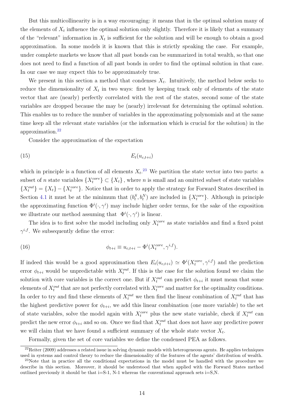But this multicollinearity is in a way encouraging: it means that in the optimal solution many of the elements of  $X_t$  influence the optimal solution only slightly. Therefore it is likely that a summary of the "relevant" information in  $X_t$  is sufficient for the solution and will be enough to obtain a good approximation. In some models it is known that this is strictly speaking the case. For example, under complete markets we know that all past bonds can be summarized in total wealth, so that one does not need to find a function of all past bonds in order to find the optimal solution in that case. In our case we may expect this to be approximately true.

We present in this section a method that condenses  $X_t$ . Intuitively, the method below seeks to reduce the dimensionality of  $X_t$  in two ways: first by keeping track only of elements of the state vector that are (nearly) perfectly correlated with the rest of the states, second some of the state variables are dropped because the may be (nearly) irrelevant for determining the optimal solution. This enables us to reduce the number of variables in the approximating polynomials and at the same time keep all the relevant state variables (or the information which is crucial for the solution) in the approximation.[22](#page-14-0)

Consider the approximation of the expectation

$$
(15) \t\t\t E_t(u_{c,t+i})
$$

which in principle is a function of all elements  $X_t$ <sup>[23](#page-14-1)</sup>. We partition the state vector into two parts: a subset of *n* state variables  $\{X_t^{core}\}\subset \{X_t\}$ , where *n* is small and an omitted subset of state variables  $\{X_t^{out}\} = \{X_t\} - \{X_t^{core}\}.$  Notice that in order to apply the strategy for Forward States described in Section [4.1](#page-11-3) it must be at the minimum that  $(b_t^S, b_t^N)$  are included in  $\{X_t^{core}\}\$ . Although in principle the approximating function  $\Phi^i(\cdot, \gamma^i)$  may include higher order terms, for the sake of the exposition we illustrate our method assuming that  $\Phi^i(\cdot, \gamma^i)$  is linear.

The idea is to first solve the model including only  $X_t^{core}$  as state variables and find a fixed point  $\gamma^{i,f}$ . We subsequently define the error:

(16) 
$$
\phi_{t+i} \equiv u_{c,t+i} - \Phi^i(X_t^{core}, \gamma^{i,f}).
$$

If indeed this would be a good approximation then  $E_t(u_{c,t+i}) \simeq \Phi^i(X_t^{core}, \gamma^{i,f})$  and the prediction error  $\phi_{t+i}$  would be unpredictable with  $X_t^{out}$ . If this is the case for the solution found we claim the solution with core variables is the correct one. But if  $X_t^{out}$  can predict  $\phi_{t+i}$  it must mean that some elements of  $X_t^{out}$  that are not perfectly correlated with  $X_t^{core}$  and matter for the optimality conditions. In order to try and find these elements of  $X_t^{out}$  we then find the linear combination of  $X_t^{out}$  that has the highest predictive power for  $\phi_{t+i}$ , we add this linear combination (one more variable) to the set of state variables, solve the model again with  $X_t^{core}$  plus the new state variable, check if  $X_t^{out}$  can predict the new error  $\phi_{t+i}$  and so on. Once we find that  $X_t^{out}$  that does not have any predictive power we will claim that we have found a sufficient summary of the whole state vector  $X_t$ .

Formally, given the set of core variables we define the condensed PEA as follows.

<span id="page-14-0"></span> $^{22}$ Reiter (2009) addresses a related issue in solving dynamic models with heterogeneous agents. He applies techniques used in systems and control theory to reduce the dimensionality of the features of the agents' distribution of wealth.

<span id="page-14-1"></span><sup>&</sup>lt;sup>23</sup>Note that in practice all the conditional expectations in the model must be handled with the procedure we describe in this section. Moreover, it should be understood that when applied with the Forward States method outlined previously it should be that i=S-1, N-1 whereas the conventional approach sets i=S,N.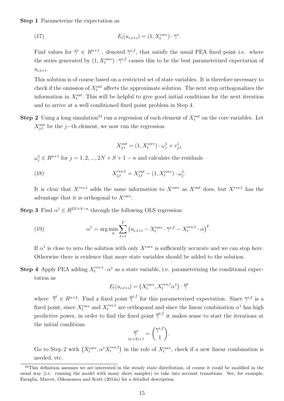#### Step 1 Parameterize the expectation as

(17) 
$$
E_t(u_{c,t+i}) = (1, X_t^{core}) \cdot \overline{\gamma}^i.
$$

Find values for  $\overline{\gamma}^i \in R^{n+1}$ , denoted  $\overline{\gamma}^{i,f}$ , that satisfy the usual PEA fixed point i.e. where the series generated by  $(1, X_t^{core}) \cdot \overline{\gamma}^{i,f}$  causes this to be the best parameterized expectation of  $u_{c,t+i}$ .

This solution is of course based on a restricted set of state variables. It is therefore necessary to check if the omission of  $X_t^{out}$  affects the approximate solution. The next step orthogonalizes the information in  $X_t^{out}$ . This will be helpful to give good initial conditions for the next iteration and to arrive at a well conditioned fixed point problem in Step 4.

**Step 2** Using a long simulation<sup>[24](#page-15-0)</sup> run a regression of each element of  $X_t^{out}$  on the core variables. Let  $X_{j,t}^{out}$  be the j−th element, we now run the regression

$$
X_{j,t}^{out} = (1, X_t^{core}) \cdot \omega_j^1 + v_{j,t}^1
$$

 $\omega_j^1 \in R^{n+1}$  for  $j = 1, 2, ..., 2N + S + 1 - n$  and calculate the residuals

(18) 
$$
X_{j,t}^{res,1} = X_{j,t}^{out} - (1, X_t^{core}) \cdot \omega_j^1.
$$

It is clear that  $X^{res,1}$  adds the same information to  $X^{core}$  as  $X^{out}$  does, but  $X^{res,1}$  has the advantage that it is orthogonal to  $X^{core}$ .

**Step 3** Find  $\alpha^{1} \in R^{2N+S-n}$  through the following OLS regression:

(19) 
$$
\alpha^{1} = \arg\min_{\alpha} \sum_{t=1}^{T} \left( u_{c,t+i} - X_t^{core} \cdot \overline{\gamma}^{i,f} - X_t^{res,1} \cdot \alpha \right)^{2}.
$$

If  $\alpha^1$  is close to zero the solution with only  $X^{core}$  is sufficiently accurate and we can stop here. Otherwise there is evidence that more state variables should be added to the solution.

**Step 4** Apply PEA adding  $X_t^{res,1}$  $t^{res,1}_{t} \cdot \alpha^{1}$  as a state variable, i.e. parameterizing the conditional expectation as

$$
E_t(u_{c,t+i}) = \left(X_t^{core}, X_t^{res,1}\alpha^1\right) \cdot \overline{\overline{\gamma}}^i
$$

where  $\bar{\bar{\gamma}}^i \in R^{n+2}$ . Find a fixed point  $\bar{\bar{\gamma}}^{i,f}$  for this parameterized expectation. Since  $\bar{\gamma}^{i,f}$  is a fixed point, since  $X_t^{core}$  and  $X_t^{res,1}$  are orthogonal and since the linear combination  $\alpha^1$  has high predictive power, in order to find the fixed point  $\overline{z}^{i,f}$  it makes sense to start the iterations at the initial conditions

$$
\overline{\overline{\gamma}}_{(n+2)\times 1}^{=i} = {\overline{\gamma}}^{i,f}
$$

Go to Step 2 with  $(X_t^{core}, \alpha^1 X_t^{res,1})$  $\binom{res,1}{t}$  in the role of  $X_t^{core}$ , check if a new linear combination is needed, etc.

<span id="page-15-0"></span> $^{24}$ This definition assumes we are interested in the steady state distribution, of course it could be modified in the usual way (i.e. running the model with many short samples) to take into account transitions. See, for example, Faraglia, Marcet, Oikonomou and Scott (2014a) for a detailed description.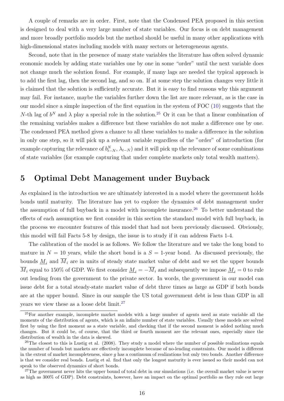A couple of remarks are in order. First, note that the Condensed PEA proposed in this section is designed to deal with a very large number of state variables. Our focus is on debt management and more broadly portfolio models but the method should be useful in many other applications with high-dimensional states including models with many sectors or heterogeneous agents.

Second, note that in the presence of many state variables the literature has often solved dynamic economic models by adding state variables one by one in some "order" until the next variable does not change much the solution found. For example, if many lags are needed the typical approach is to add the first lag, then the second lag, and so on. If at some step the solution changes very little it is claimed that the solution is sufficiently accurate. But it is easy to find reasons why this argument may fail. For instance, maybe the variables further down the list are more relevant, as is the case in our model since a simple inspection of the first equation in the system of FOC [\(10\)](#page-12-0) suggests that the N-th lag of  $b^N$  and  $\lambda$  play a special role in the solution.<sup>[25](#page-16-0)</sup> Or it can be that a linear combination of the remaining variables makes a difference but these variables do not make a difference one by one. The condensed PEA method gives a chance to all these variables to make a difference in the solution in only one step, so it will pick up a relevant variable regardless of the "order" of introduction (for example capturing the relevance of  $b_{t-N}^N$ ,  $\lambda_{t-N}$ ) and it will pick up the relevance of some combinations of state variables (for example capturing that under complete markets only total wealth matters).

# <span id="page-16-3"></span>5 Optimal Debt Management under Buyback

As explained in the introduction we are ultimately interested in a model where the government holds bonds until maturity. The literature has yet to explore the dynamics of debt management under the assumption of full buyback in a model with incomplete insurance.<sup>[26](#page-16-1)</sup> To better understand the effects of each assumption we first consider in this section the standard model with full buyback, in the process we encounter features of this model that had not been previously discussed. Obviously, this model will fail Facts 5-8 by design, the issue is to study if it can address Facts 1-4.

The calibration of the model is as follows. We follow the literature and we take the long bond to mature in  $N = 10$  years, while the short bond is a  $S = 1$ -year bond. As discussed previously, the bounds  $M_i$  and  $\overline{M}_i$  are in units of steady state market value of debt and we set the upper bounds  $\overline{M}_i$  equal to 150% of GDP. We first consider  $\underline{M}_i = -\overline{M}_i$  and subsequently we impose  $\underline{M}_i = 0$  to rule out lending from the government to the private sector. In words, the government in our model can issue debt for a total steady-state market value of debt three times as large as GDP if both bonds are at the upper bound. Since in our sample the US total government debt is less than GDP in all years we view these as a loose debt limit.<sup>[27](#page-16-2)</sup>

<span id="page-16-0"></span><sup>25</sup>For another example, incomplete market models with a large number of agents need as state variable all the moments of the distribution of agents, which is an infinite number of state variables. Usually these models are solved first by using the first moment as a state variable, and checking that if the second moment is added nothing much changes. But it could be, of course, that the third or fourth moment are the relevant ones, especially since the distribution of wealth in the data is skewed.

<span id="page-16-1"></span> $^{26}$ The closest to this is Lustig et al. (2008). They study a model where the number of possible realizations equals the number of bonds but markets are effectively incomplete because of no-lending constraints. Our model is different in the extent of market incompleteness, since  $g$  has a continuum of realizations but only two bonds. Another difference is that we consider real bonds. Lustig et al. find that only the longest maturity is ever issued so their model can not speak to the observed dynamics of short bonds.

<span id="page-16-2"></span> $27$ The government never hits the upper bound of total debt in our simulations (i.e. the overall market value is never as high as 300% of GDP). Debt constraints, however, have an impact on the optimal portfolio as they rule out large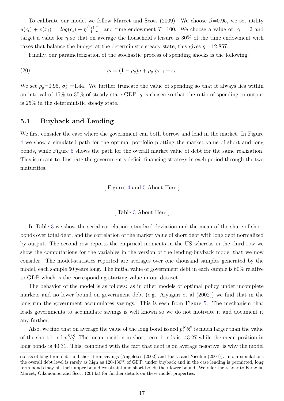To calibrate our model we follow Marcet and Scott (2009). We choose  $\beta$ =0.95, we set utility  $u(c_t) + v(x_t) = log(c_t) + \eta \frac{(x_t)^{1-\gamma}}{1-\gamma}$  $\frac{\gamma_t}{1-\gamma}$  and time endowment T=100. We choose a value of  $\gamma = 2$  and target a value for  $\eta$  so that on average the household's leisure is 30% of the time endowment with taxes that balance the budget at the deterministic steady state, this gives  $\eta = 12.857$ .

Finally, our parameterization of the stochastic process of spending shocks is the following:

(20) 
$$
g_t = (1 - \rho_g)\overline{g} + \rho_g \ g_{t-1} + \epsilon_t.
$$

We set  $\rho_g=0.95$ ,  $\sigma_{\varepsilon}^2=1.44$ . We further truncate the value of spending so that it always lies within an interval of 15% to 35% of steady state GDP.  $\bar{q}$  is chosen so that the ratio of spending to output is 25% in the deterministic steady state.

### <span id="page-17-0"></span>5.1 Buyback and Lending

We first consider the case where the government can both borrow and lend in the market. In Figure [4](#page-44-0) we show a simulated path for the optimal portfolio plotting the market value of short and long bonds, while Figure [5](#page-45-0) shows the path for the overall market value of debt for the same realization. This is meant to illustrate the government's deficit financing strategy in each period through the two maturities.

[ Figures [4](#page-44-0) and [5](#page-45-0) About Here ]

[ Table [3](#page-39-0) About Here ]

In Table [3](#page-39-0) we show the serial correlation, standard deviation and the mean of the share of short bonds over total debt, and the correlation of the market value of short debt with long debt normalized by output. The second row reports the empirical moments in the US whereas in the third row we show the computations for the variables in the version of the lending-buyback model that we now consider. The model-statistics reported are averages over one thousand samples generated by the model, each sample 60 years long. The initial value of government debt in each sample is 60% relative to GDP which is the corresponding starting value in our dataset.

The behavior of the model is as follows: as in other models of optimal policy under incomplete markets and no lower bound on government debt (e.g. Aiyagari et al (2002)) we find that in the long run the government accumulates savings. This is seen from Figure [5.](#page-45-0) The mechanism that leads governments to accumulate savings is well known so we do not motivate it and document it any further.

Also, we find that on average the value of the long bond issued  $p_t^N b_t^N$  is much larger than the value of the short bond  $p_t^S b_t^S$ . The mean position in short term bonds is -43.27 while the mean position in long bonds is 40.31. This, combined with the fact that debt is on average negative, is why the model

stocks of long term debt and short term savings (Angeletos (2002) and Buera and Nicolini (2004)). In our simulations the overall debt level is rarely as high as 120-130% of GDP, under buyback and in the case lending is permitted, long term bonds may hit their upper bound constraint and short bonds their lower bound. We refer the reader to Faraglia, Marcet, Oikonomou and Scott (2014a) for further details on these model properties.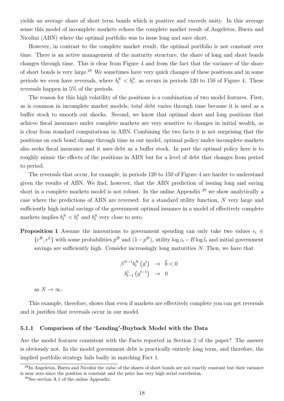yields an average share of short term bonds which is positive and exceeds unity. In this average sense this model of incomplete markets echoes the complete market result of Angeletos, Buera and Nicolini (ABN) where the optimal portfolio was to issue long and save short.

However, in contrast to the complete market result, the optimal portfolio is not constant over time. There is an active management of the maturity structure, the share of long and short bonds changes through time. This is clear from Figure [4](#page-44-0) and from the fact that the variance of the share of short bonds is very large.[28](#page-18-0) We sometimes have very quick changes of these positions and in some periods we even have reversals, where  $b_t^N < b_t^S$ , as occurs in periods 120 to 150 of Figure [4.](#page-44-0) These reversals happen in 5% of the periods.

The reason for this high volatility of the positions is a combination of two model features. First, as is common in incomplete market models, total debt varies through time because it is used as a buffer stock to smooth out shocks. Second, we know that optimal short and long positions that achieve fiscal insurance under complete markets are very sensitive to changes in initial wealth, as is clear from standard computations in ABN. Combining the two facts it is not surprising that the positions on each bond change through time in our model, optimal policy under incomplete markets also seeks fiscal insurance and it uses debt as a buffer stock. In part the optimal policy here is to roughly mimic the effects of the positions in ABN but for a level of debt that changes from period to period.

The reversals that occur, for example, in periods 120 to 150 of Figure [4](#page-44-0) are harder to understand given the results of ABN. We find, however, that the ABN prediction of issuing long and saving short in a complete markets model is not robust. In the online Appendix [29](#page-18-1) we show analytically a case where the predictions of ABN are reversed: for a standard utility function, N very large and sufficiently high initial savings of the government optimal issuance in a model of effectively complete markets implies  $b_t^N < b_t^S$  and  $b_t^S$  very close to zero.

**Proposition 1** Assume the innovations to government spending can only take two values  $\epsilon_t \in$  $\{\epsilon^H, \epsilon^L\}$  with some probabilities  $p^H$  and  $(1-p^H)$ , utility  $\log c_t - B \log l_t$  and initial government savings are sufficiently high. Consider increasingly long maturities N. Then, we have that

$$
\beta^{N-1} b_t^N \left( g^t \right) \rightarrow \bar{b} < 0
$$

$$
b_{t-1}^1 \left( g^{t-1} \right) \rightarrow 0
$$

as  $N \to \infty$ .

This example, therefore, shows that even if markets are effectively complete you can get reversals and it justifies that reversals occur in our model.

### 5.1.1 Comparison of the 'Lending'-Buyback Model with the Data

Are the model features consistent with the Facts reported in Section [2](#page-5-3) of the paper? The answer is obviously not. In the model government debt is practically entirely long term, and therefore, the implied portfolio strategy fails badly in matching Fact 1.

<span id="page-18-0"></span> $^{28}$ In Angeletos, Buera and Nicolini the *value* of the shares of short bonds are not exactly constant but their variance is near zero since the position is constant and the price has very high serial correlation.

<span id="page-18-1"></span><sup>29</sup>See section A.1 of the online Appendix.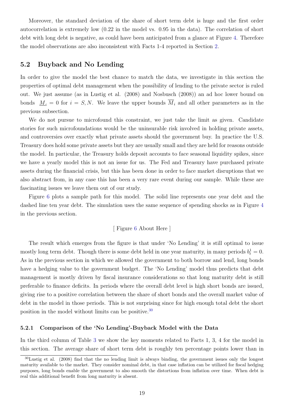Moreover, the standard deviation of the share of short term debt is huge and the first order autocorrelation is extremely low (0.22 in the model vs. 0.95 in the data). The correlation of short debt with long debt is negative, as could have been anticipated from a glance at Figure [4.](#page-44-0) Therefore the model observations are also inconsistent with Facts 1-4 reported in Section [2.](#page-5-3)

## <span id="page-19-1"></span>5.2 Buyback and No Lending

In order to give the model the best chance to match the data, we investigate in this section the properties of optimal debt management when the possibility of lending to the private sector is ruled out. We just assume (as in Lustig et al. (2008) and Nosbusch (2008)) an ad hoc lower bound on bonds  $M_i = 0$  for  $i = S, N$ . We leave the upper bounds  $\overline{M}_i$  and all other parameters as in the previous subsection.

We do not pursue to microfound this constraint, we just take the limit as given. Candidate stories for such microfoundations would be the uninsurable risk involved in holding private assets, and controversies over exactly what private assets should the government buy. In practice the U.S. Treasury does hold some private assets but they are usually small and they are held for reasons outside the model. In particular, the Treasury holds deposit accounts to face seasonal liquidity spikes, since we have a yearly model this is not an issue for us. The Fed and Treasury have purchased private assets during the financial crisis, but this has been done in order to face market disruptions that we also abstract from, in any case this has been a very rare event during our sample. While these are fascinating issues we leave them out of our study.

Figure [6](#page-46-0) plots a sample path for this model. The solid line represents one year debt and the dashed line ten year debt. The simulation uses the same sequence of spending shocks as in Figure [4](#page-44-0) in the previous section.

#### [ Figure [6](#page-46-0) About Here ]

The result which emerges from the figure is that under 'No Lending' it is still optimal to issue mostly long term debt. Though there is some debt held in one year maturity, in many periods  $b_t^1 = 0$ . As in the previous section in which we allowed the government to both borrow and lend, long bonds have a hedging value to the government budget. The 'No Lending' model thus predicts that debt management is mostly driven by fiscal insurance considerations so that long maturity debt is still preferable to finance deficits. In periods where the overall debt level is high short bonds are issued, giving rise to a positive correlation between the share of short bonds and the overall market value of debt in the model in those periods. This is not surprising since for high enough total debt the short position in the model without limits can be positive.[30](#page-19-0)

#### 5.2.1 Comparison of the 'No Lending'-Buyback Model with the Data

In the third column of Table [3](#page-39-0) we show the key moments related to Facts 1, 3, 4 for the model in this section. The average share of short term debt is roughly ten percentage points lower than in

<span id="page-19-0"></span> $30$ Lustig et al. (2008) find that the no lending limit is always binding, the government issues only the longest maturity available to the market. They consider nominal debt, in that case inflation can be utilized for fiscal hedging purposes, long bonds enable the government to also smooth the distortions from inflation over time. When debt is real this additional benefit from long maturity is absent.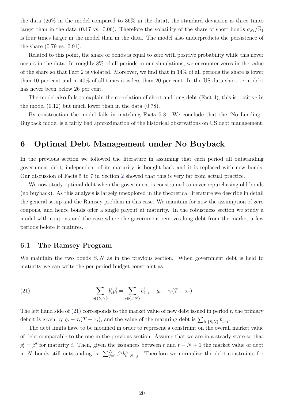the data  $(26\%$  in the model compared to  $36\%$  in the data), the standard deviation is three times larger than in the data (0.17 vs. 0.06). Therefore the volatility of the share of short bonds  $\sigma_{S_1}/\overline{S}_1$ is four times larger in the model than in the data. The model also underpredicts the persistence of the share (0.79 vs. 0.91).

Related to this point, the share of bonds is equal to zero with positive probability while this never occurs in the data. In roughly 8% of all periods in our simulations, we encounter zeros in the value of the share so that Fact 2 is violated. Moreover, we find that in 14% of all periods the share is lower than 10 per cent and in 40% of all times it is less than 20 per cent. In the US data short term debt has never been below 26 per cent.

The model also fails to explain the correlation of short and long debt (Fact 4), this is positive in the model (0.12) but much lower than in the data (0.78).

By construction the model fails in matching Facts 5-8. We conclude that the 'No Lending'- Buyback model is a fairly bad approximation of the historical observations on US debt management.

# <span id="page-20-1"></span>6 Optimal Debt Management under No Buyback

In the previous section we followed the literature in assuming that each period all outstanding government debt, independent of its maturity, is bought back and it is replaced with new bonds. Our discussion of Facts 5 to 7 in Section [2](#page-5-3) showed that this is very far from actual practice.

We now study optimal debt when the government is constrained to never repurchasing old bonds (no buyback). As this analysis is largely unexplored in the theoretical literature we describe in detail the general setup and the Ramsey problem in this case. We maintain for now the assumption of zero coupons, and hence bonds offer a single payout at maturity. In the robustness section we study a model with coupons and the case where the government removes long debt from the market a few periods before it matures.

# 6.1 The Ramsey Program

We maintain the two bonds  $S, N$  as in the previous section. When government debt is held to maturity we can write the per period budget constraint as:

<span id="page-20-0"></span>(21) 
$$
\sum_{i \in \{S,N\}} b_t^i p_t^i = \sum_{i \in \{S,N\}} b_{t-i}^i + g_t - \tau_t (T - x_t)
$$

The left hand side of  $(21)$  corresponds to the market value of new debt issued in period t, the primary deficit is given by  $g_t - \tau_t(T - x_t)$ , and the value of the maturing debt is  $\sum_{i \in \{S, N\}} b_{t-i}^i$ .

The debt limits have to be modified in order to represent a constraint on the overall market value of debt comparable to the one in the previous section. Assume that we are in a steady state so that  $p_t^i = \beta^i$  for maturity *i*. Then, given the issuances between t and  $t - N + 1$  the market value of debt in N bonds still outstanding is:  $\sum_{j=1}^{N} \beta^{j} b_{t-N+j}^{N}$ . Therefore we normalize the debt constraints for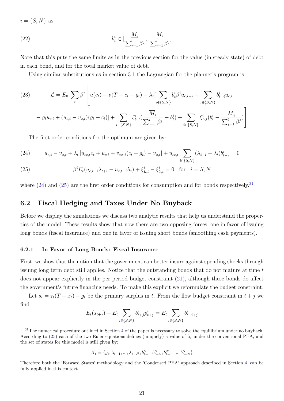$i = \{S, N\}$  as

(22) 
$$
b_t^i \in \left[\frac{\underline{M}_i}{\sum_{j=1}^i \beta^j}, \ \frac{\overline{M}_i}{\sum_{j=1}^i \beta^j}\right]
$$

Note that this puts the same limits as in the previous section for the value (in steady state) of debt in each bond, and for the total market value of debt.

Using similar substitutions as in section [3.1](#page-9-3) the Lagrangian for the planner's program is

(23) 
$$
\mathcal{L} = E_0 \sum_t \beta^t \left[ u(c_t) + v(T - c_t - g_t) - \lambda_t \left[ \sum_{i \in \{S, N\}} b_t^i \beta^i u_{c, t+i} - \sum_{i \in \{S, N\}} b_{t-i}^i u_{c, t} \right] - g_t u_{c, t} + (u_{c, t} - v_{x, t})(g_t + c_t) \right] + \sum_{i \in \{S, N\}} \xi_{U, t}^i \left( \frac{\overline{M}_i}{\sum_{j=1}^i \beta^j} - b_t^i \right) + \sum_{i \in \{S, N\}} \xi_{L, t}^i (b_t^i - \frac{\underline{M}_i}{\sum_{j=1}^i \beta^j}) \right]
$$

The first order conditions for the optimum are given by:

<span id="page-21-1"></span>(24) 
$$
u_{c,t} - v_{x,t} + \lambda_t \left[ u_{cc,t}c_t + u_{c,t} + v_{xx,t}(c_t + g_t) - v_{x,t} \right] + u_{cc,t} \sum_{i \in \{S,N\}} (\lambda_{t-i} - \lambda_t) b_{t-i}^i = 0
$$

<span id="page-21-2"></span>(25) 
$$
\beta^{i} E_{t}(u_{c,t+i}\lambda_{t+i} - u_{c,t+i}\lambda_{t}) + \xi_{L,t}^{i} - \xi_{U,t}^{i} = 0 \text{ for } i = S, N
$$

where  $(24)$  and  $(25)$  are the first order conditions for consumption and for bonds respectively.<sup>[31](#page-21-3)</sup>

# <span id="page-21-0"></span>6.2 Fiscal Hedging and Taxes Under No Buyback

Before we display the simulations we discuss two analytic results that help us understand the properties of the model. These results show that now there are two opposing forces, one in favor of issuing long bonds (fiscal insurance) and one in favor of issuing short bonds (smoothing cash payments).

### 6.2.1 In Favor of Long Bonds: Fiscal Insurance

First, we show that the notion that the government can better insure against spending shocks through issuing long term debt still applies. Notice that the outstanding bonds that do not mature at time t does not appear explicitly in the per period budget constraint [\(21\)](#page-20-0), although these bonds do affect the government's future financing needs. To make this explicit we reformulate the budget constraint.

Let  $s_t = \tau_t(T - x_t) - g_t$  be the primary surplus in t. From the flow budget constraint in  $t + j$  we find

$$
E_t(s_{t+j}) + E_t \sum_{i \in \{S, N\}} b^i_{t+j} p^i_{t+j} = E_t \sum_{i \in \{S, N\}} b^i_{t-i+j}
$$

$$
X_t = \{g_t, \lambda_{t-1}, ..., \lambda_{t-N}, b_{t-1}^S, b_{t-S}^S, b_{t-1}^N, ..., b_{t-N}^N\}
$$

<span id="page-21-3"></span> $31$ The numerical procedure outlined in Section [4](#page-11-4) of the paper is necessary to solve the equilibrium under no buyback. According to [\(25\)](#page-21-2) each of the two Euler equations defines (uniquely) a value of  $\lambda_t$  under the conventional PEA, and the set of states for this model is still given by:

Therefore both the 'Forward States' methodology and the 'Condensed PEA' approach described in Section [4,](#page-11-4) can be fully applied in this context.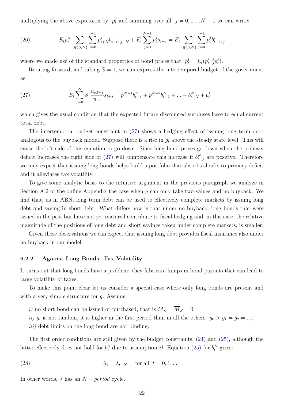multiplying the above expression by  $p_t^j$  and summing over all  $j = 0, 1, ...N - 1$  we can write:

(26) 
$$
E_t p_t^N \sum_{i \in \{S, N\}} \sum_{j=0}^{i-1} p_{t+N}^j b_{t-i+j+N}^i + E_t \sum_{j=0}^{N-1} p_t^j s_{t+j} = E_t \sum_{i \in \{S, N\}} \sum_{j=0}^{i-1} p_t^j b_{t-i+j}^i
$$

where we made use of the standard properties of bond prices that  $p_t^i = E_t(p_{t+j}^{i-j})$  $_{t+j}^{i-j}p_{t}^{j}$  $\binom{J}{t}$ .

Iterating forward, and taking  $S = 1$ , we can express the intertemporal budget of the government as

<span id="page-22-0"></span>(27) 
$$
E_t \sum_{j=0}^{\infty} \beta^j \frac{u_{c,t+j}}{u_{c,t}} s_{t+j} = p^{N-1} b_{t-1}^N + p^{N-2} b_{t-2}^N + \dots + b_{t-N}^N + b_{t-1}^1
$$

which gives the usual condition that the expected future discounted surpluses have to equal current total debt.

The intertemporal budget constraint in [\(27\)](#page-22-0) shows a hedging effect of issuing long term debt analogous to the buyback model. Suppose there is a rise in  $g_t$  above the steady state level. This will cause the left side of this equation to go down. Since long bond prices go down when the primary deficit increases the right side of [\(27\)](#page-22-0) will compensate this increase if  $b_{t-j}^N$  are positive. Therefore we may expect that issuing long bonds helps build a portfolio that absorbs shocks to primary deficit and it alleviates tax volatility.

To give some analytic basis to the intuitive argument in the previous paragraph we analyze in Section A.2 of the online Appendix the case when  $g$  can only take two values and no buyback. We find that, as in ABN, long term debt can be used to effectively complete markets by issuing long debt and saving in short debt. What differs now is that under no buyback, long bonds that were issued in the past but have not yet matured contribute to fiscal hedging and, in this case, the relative magnitude of the positions of long debt and short savings taken under complete markets, is smaller.

Given these observations we can expect that issuing long debt provides fiscal insurance also under no buyback in our model.

#### <span id="page-22-2"></span>6.2.2 Against Long Bonds: Tax Volatility

It turns out that long bonds have a problem: they fabricate lumps in bond payouts that can lead to large volatility of taxes.

To make this point clear let us consider a special case where only long bonds are present and with a very simple structure for  $q$ . Assume:

- i) no short bond can be issued or purchased, that is  $M_S = \overline{M}_S = 0;$
- ii)  $g_t$  is not random, it is higher in the first period than in all the others:  $g_0 > g_1 = g_2 = ...;$

<span id="page-22-1"></span>*iii*) debt limits on the long bond are not binding.

The first order conditions are still given by the budget constraints, [\(24\)](#page-21-1) and [\(25\)](#page-21-2), although the latter effectively does not hold for  $b_t^S$  due to assumption *i*). Equation [\(25\)](#page-21-2) for  $b_t^N$  gives:

(28) 
$$
\lambda_t = \lambda_{t+N} \quad \text{for all } t = 0, 1, ...
$$

In other words,  $\lambda$  has an  $N - period$  cycle.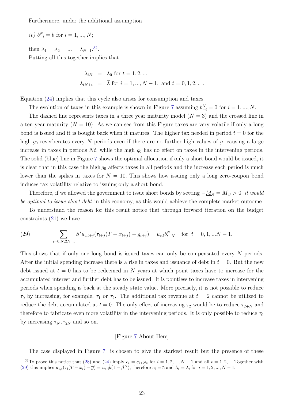Furthermore, under the additional assumption

$$
iv) b_{-i}^N = \overline{b}
$$
 for  $i = 1, ..., N;$ 

then  $\lambda_1 = \lambda_2 = ... = \lambda_{N-1}.^{32}$  $\lambda_1 = \lambda_2 = ... = \lambda_{N-1}.^{32}$  $\lambda_1 = \lambda_2 = ... = \lambda_{N-1}.^{32}$ . Putting all this together implies that

$$
\lambda_{tN} = \lambda_0 \text{ for } t = 1, 2, ...
$$
\n  
\n $\lambda_{tN+i} = \overline{\lambda} \text{ for } i = 1, ..., N-1, \text{ and } t = 0, 1, 2, ...$ 

Equation [\(24\)](#page-21-1) implies that this cycle also arises for consumption and taxes.

The evolution of taxes in this example is shown in Figure [7](#page-47-0) assuming  $b_{-i}^N = 0$  for  $i = 1, ..., N$ .

The dashed line represents taxes in a three year maturity model  $(N = 3)$  and the crossed line in a ten year maturity  $(N = 10)$ . As we can see from this Figure taxes are very volatile if only a long bond is issued and it is bought back when it matures. The higher tax needed in period  $t = 0$  for the high  $g_0$  reverberates every N periods even if there are no further high values of g, causing a large increase in taxes in periods  $N_t$ , while the high  $g_0$  has no effect on taxes in the intervening periods. The solid (blue) line in Figure [7](#page-47-0) shows the optimal allocation if only a short bond would be issued, it is clear that in this case the high  $g_0$  affects taxes in all periods and the increase each period is much lower than the spikes in taxes for  $N = 10$ . This shows how issuing only a long zero-coupon bond induces tax volatility relative to issuing only a short bond.

Therefore, if we allowed the government to issue short bonds by setting  $-\underline{M}_S = \overline{M}_S > 0$  it would be optimal to issue short debt in this economy, as this would achieve the complete market outcome.

To understand the reason for this result notice that through forward iteration on the budget constraints [\(21\)](#page-20-0) we have

<span id="page-23-1"></span>(29) 
$$
\sum_{j=0,N,2N,\dots} \beta^j u_{c,t+j} (\tau_{t+j}(T-x_{t+j}) - g_{t+j}) = u_{c,t} b_{t-N}^N \text{ for } t = 0,1,...N-1.
$$

This shows that if only one long bond is issued taxes can only be compensated every N periods. After the initial spending increase there is a rise in taxes and issuance of debt in  $t = 0$ . But the new debt issued at  $t = 0$  has to be redeemed in N years at which point taxes have to increase for the accumulated interest and further debt has to be issued. It is pointless to increase taxes in intervening periods when spending is back at the steady state value. More precisely, it is not possible to reduce  $\tau_0$  by increasing, for example,  $\tau_1$  or  $\tau_2$ . The additional tax revenue at  $t = 2$  cannot be utilized to reduce the debt accumulated at  $t = 0$ . The only effect of increasing  $\tau_2$  would be to reduce  $\tau_{2+N}$  and therefore to fabricate even more volatility in the intervening periods. It is only possible to reduce  $\tau_0$ by increasing  $\tau_N, \tau_{2N}$  and so on.

#### [Figure [7](#page-47-0) About Here]

The case displayed in Figure [7](#page-47-0) is chosen to give the starkest result but the presence of these

<span id="page-23-0"></span><sup>&</sup>lt;sup>32</sup>To prove this notice that [\(28\)](#page-22-1) and [\(24\)](#page-21-1) imply  $c_i = c_{i+Nt}$  for  $i = 1, 2, ..., N-1$  and all  $t = 1, 2, ...$  Together with [\(29\)](#page-23-1) this implies  $u_{c,i}(\tau_i(T - x_i) - \overline{g}) = u_{c,i}(\overline{b}(1 - \beta^N))$ , therefore  $c_i = \overline{c}$  and  $\lambda_i = \overline{\lambda}$ , for  $i = 1, 2, ..., N - 1$ .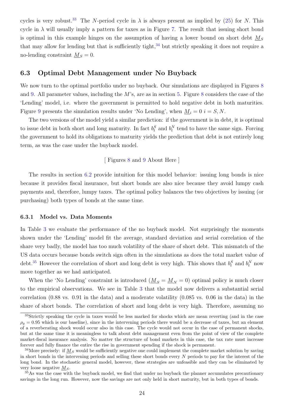cycles is very robust.<sup>[33](#page-24-0)</sup> The N-period cycle in  $\lambda$  is always present as implied by [\(25\)](#page-21-2) for N. This cycle in  $\lambda$  will usually imply a pattern for taxes as in Figure [7.](#page-47-0) The result that issuing short bond is optimal in this example hinges on the assumption of having a lower bound on short debt  $M<sub>S</sub>$ that may allow for lending but that is sufficiently tight,  $34$  but strictly speaking it does not require a no-lending constraint  $M<sub>S</sub> = 0$ .

### 6.3 Optimal Debt Management under No Buyback

We now turn to the optimal portfolio under no buyback. Our simulations are displayed in Figures [8](#page-48-0) and [9.](#page-49-0) All parameter values, including the  $M$ 's, are as in section [5.](#page-16-3) Figure [8](#page-48-0) considers the case of the 'Lending' model, i.e. where the government is permitted to hold negative debt in both maturities. Figure [9](#page-49-0) presents the simulation results under 'No Lending', when  $M_i = 0$  i = S, N.

The two versions of the model yield a similar prediction: if the government is in debt, it is optimal to issue debt in both short and long maturity. In fact  $b_t^S$  and  $b_t^N$  tend to have the same sign. Forcing the government to hold its obligations to maturity yields the prediction that debt is not entirely long term, as was the case under the buyback model.

#### [ Figures [8](#page-48-0) and [9](#page-49-0) About Here ]

The results in section [6.2](#page-21-0) provide intuition for this model behavior: issuing long bonds is nice because it provides fiscal insurance, but short bonds are also nice because they avoid lumpy cash payments and, therefore, lumpy taxes. The optimal policy balances the two objectives by issuing (or purchasing) both types of bonds at the same time.

#### 6.3.1 Model vs. Data Moments

In Table [3](#page-39-0) we evaluate the performance of the no buyback model. Not surprisingly the moments shown under the 'Lending' model fit the average, standard deviation and serial correlation of the share very badly, the model has too much volatility of the share of short debt. This mismatch of the US data occurs because bonds switch sign often in the simulations as does the total market value of debt.<sup>[35](#page-24-2)</sup> However the correlation of short and long debt is very high. This shows that  $b_t^S$  and  $b_t^N$  now move together as we had anticipated.

When the 'No Lending' constraint is introduced  $(M<sub>S</sub> = M<sub>N</sub> = 0)$  optimal policy is much closer to the empirical observations. We see in Table [3](#page-39-0) that the model now delivers a substantial serial correlation (0.88 vs. 0.91 in the data) and a moderate volatility (0.085 vs. 0.06 in the data) in the share of short bonds. The correlation of short and long debt is very high. Therefore, assuming no

<span id="page-24-0"></span><sup>&</sup>lt;sup>33</sup>Strictly speaking the cycle in taxes would be less marked for shocks which are mean reverting (and in the case  $\rho_q = 0.95$  which is our baseline), since in the intervening periods there would be a decrease of taxes, but an element of a reverberating shock would occur also in this case. The cycle would not occur in the case of permanent shocks, but at the same time it is meaningless to talk about debt management even from the point of view of the complete market-fiscal insurance analysis. No matter the structure of bond markets in this case, the tax rate must increase forever and fully finance the entire the rise in government spending if the shock is permanent.

<span id="page-24-1"></span><sup>&</sup>lt;sup>34</sup>More precisely: if  $M<sub>S</sub>$  would be sufficiently negative one could implement the complete market solution by saving in short bonds in the intervening periods and selling these short bonds every N periods to pay for the interest of the long bond. In the stochastic general model, however, these strategies are unfeasible and they can be eliminated by very loose negative  $M<sub>S</sub>$ .

<span id="page-24-2"></span><sup>&</sup>lt;sup>35</sup>As was the case with the buyback model, we find that under no buyback the planner accumulates precautionary savings in the long run. However, now the savings are not only held in short maturity, but in both types of bonds.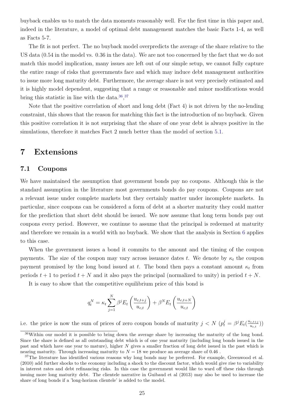buyback enables us to match the data moments reasonably well. For the first time in this paper and, indeed in the literature, a model of optimal debt management matches the basic Facts 1-4, as well as Facts 5-7.

The fit is not perfect. The no buyback model overpredicts the average of the share relative to the US data (0.54 in the model vs. 0.36 in the data). We are not too concerned by the fact that we do not match this model implication, many issues are left out of our simple setup, we cannot fully capture the entire range of risks that governments face and which may induce debt management authorities to issue more long maturity debt. Furthermore, the average share is not very precisely estimated and it is highly model dependent, suggesting that a range or reasonable and minor modifications would bring this statistic in line with the data.  $36,37$  $36,37$  $36,37$ 

Note that the positive correlation of short and long debt (Fact 4) is not driven by the no-lending constraint, this shows that the reason for matching this fact is the introduction of no buyback. Given this positive correlation it is not surprising that the share of one year debt is always positive in the simulations, therefore it matches Fact 2 much better than the model of section [5.1.](#page-17-0)

# 7 Extensions

# <span id="page-25-2"></span>7.1 Coupons

We have maintained the assumption that government bonds pay no coupons. Although this is the standard assumption in the literature most governments bonds do pay coupons. Coupons are not a relevant issue under complete markets but they certainly matter under incomplete markets. In particular, since coupons can be considered a form of debt at a shorter maturity they could matter for the prediction that short debt should be issued. We now assume that long term bonds pay out coupons every period. However, we continue to assume that the principal is redeemed at maturity and therefore we remain in a world with no buyback. We show that the analysis in Section [6](#page-20-1) applies to this case.

When the government issues a bond it commits to the amount and the timing of the coupon payments. The size of the coupon may vary across issuance dates t. We denote by  $\kappa_t$  the coupon payment promised by the long bond issued at t. The bond then pays a constant amount  $\kappa_t$  from periods  $t + 1$  to period  $t + N$  and it also pays the principal (normalized to unity) in period  $t + N$ .

It is easy to show that the competitive equilibrium price of this bond is

$$
q_t^N = \kappa_t \sum_{j=1}^N \beta^j E_t \left( \frac{u_{c,t+j}}{u_{c,t}} \right) + \beta^N E_t \left( \frac{u_{c,t+N}}{u_{c,t}} \right)
$$

i.e. the price is now the sum of prices of zero coupon bonds of maturity  $j < N$   $(p_t^j = \beta^j E_t(\frac{u_{c,t+j}}{u_{c,t}}))$  $\binom{c,t+j}{u_{c,t}})$ 

<span id="page-25-0"></span><sup>36</sup>Within our model it is possible to bring down the average share by increasing the maturity of the long bond. Since the share is defined as all outstanding debt which is of one year maturity (including long bonds issued in the past and which have one year to mature), higher N gives a smaller fraction of long debt issued in the past which is nearing maturity. Through increasing maturity to  $N = 18$  we produce an average share of 0.46.

<span id="page-25-1"></span><sup>&</sup>lt;sup>37</sup>The literature has identified various reasons why long bonds may be preferred. For example, Greenwood et al. (2010) add further shocks to the economy including a shock to the discount factor, which would give rise to variability in interest rates and debt refinancing risks. In this case the government would like to ward off these risks through issuing more long maturity debt. The clientele narrative in Guibaud et al (2013) may also be used to increase the share of long bonds if a 'long-horizon clientele' is added to the model.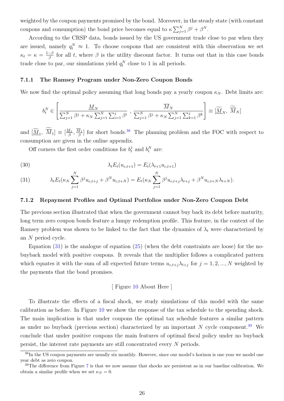weighted by the coupon payments promised by the bond. Moreover, in the steady state (with constant coupons and consumption) the bond price becomes equal to  $\kappa \sum_{j=1}^{N} \beta^j + \beta^N$ .

According to the CRSP data, bonds issued by the US government trade close to par when they are issued, namely  $q_t^N \approx 1$ . To choose coupons that are consistent with this observation we set  $\kappa_t = \kappa = \frac{1-\beta}{\beta}$  $\frac{-\beta}{\beta}$  for all t, where  $\beta$  is the utility discount factor. It turns out that in this case bonds trade close to par, our simulations yield  $q_t^N$  close to 1 in all periods.

#### 7.1.1 The Ramsey Program under Non-Zero Coupon Bonds

We now find the optimal policy assuming that long bonds pay a yearly coupon  $\kappa_N$ . Debt limits are:

$$
b_i^N \in \left[\frac{\underline{M}_N}{\sum_{j=1}^N \beta^j + \kappa_N \sum_{j=1}^N \sum_{i=1}^j \beta^i}, \frac{\overline{M}_N}{\sum_{j=1}^N \beta^j + \kappa_N \sum_{j=1}^N \sum_{k=1}^j \beta^k}\right] \equiv \left[\widetilde{\underline{M}}_N, \widetilde{\overline{M}}_N\right]
$$

and  $[\underline{\widetilde{M}}_1, \ \overline{M}_1] \equiv [\frac{M_1}{\beta}]$  $\frac{M_1}{\beta}, \frac{M_1}{\beta}$  $\frac{d_1}{\beta}$  for short bonds.<sup>[38](#page-26-0)</sup> The planning problem and the FOC with respect to consumption are given in the online appendix.

Off corners the first order conditions for  $b_t^1$  and  $b_t^N$  are:

(30) 
$$
\lambda_t E_t(u_{c,t+1}) = E_t(\lambda_{t+1} u_{c,t+1})
$$

<span id="page-26-1"></span>(31) 
$$
\lambda_t E_t(\kappa_N \sum_{j=1}^N \beta^j u_{c,t+j} + \beta^N u_{c,t+N}) = E_t(\kappa_N \sum_{j=1}^N \beta^j u_{c,t+j} \lambda_{t+j} + \beta^N u_{c,t+N} \lambda_{t+N}).
$$

#### 7.1.2 Repayment Profiles and Optimal Portfolios under Non-Zero Coupon Debt

The previous section illustrated that when the government cannot buy back its debt before maturity, long term zero coupon bonds feature a lumpy redemption profile. This feature, in the context of the Ramsey problem was shown to be linked to the fact that the dynamics of  $\lambda_t$  were characterized by an N period cycle.

Equation [\(31\)](#page-26-1) is the analogue of equation [\(25\)](#page-21-2) (when the debt constraints are loose) for the nobuyback model with positive coupons. It reveals that the multiplier follows a complicated pattern which equates it with the sum of all expected future terms  $u_{c,t+j}\lambda_{t+j}$  for  $j=1,2,...,N$  weighted by the payments that the bond promises.

#### [ Figure [10](#page-50-0) About Here ]

To illustrate the effects of a fiscal shock, we study simulations of this model with the same calibration as before. In Figure [10](#page-50-0) we show the response of the tax schedule to the spending shock. The main implication is that under coupons the optimal tax schedule features a similar pattern as under no buyback (previous section) characterized by an important  $N$  cycle component.<sup>[39](#page-26-2)</sup> We conclude that under positive coupons the main features of optimal fiscal policy under no buyback persist, the interest rate payments are still concentrated every N periods.

<span id="page-26-0"></span><sup>&</sup>lt;sup>38</sup>In the US coupon payments are usually six monthly. However, since our model's horizon is one year we model one year debt as zero coupon.

<span id="page-26-2"></span> $39$ The difference from Figure [7](#page-47-0) is that we now assume that shocks are persistent as in our baseline calibration. We obtain a similar profile when we set  $\kappa_N = 0$ .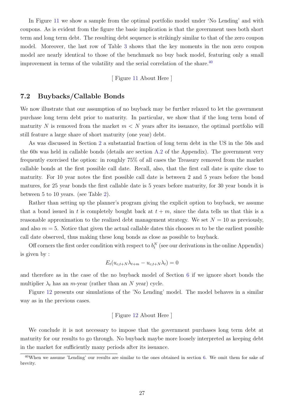In Figure [11](#page-51-0) we show a sample from the optimal portfolio model under 'No Lending' and with coupons. As is evident from the figure the basic implication is that the government uses both short term and long term debt. The resulting debt sequence is strikingly similar to that of the zero coupon model. Moreover, the last row of Table [3](#page-39-0) shows that the key moments in the non zero coupon model are nearly identical to those of the benchmark no buy back model, featuring only a small improvement in terms of the volatility and the serial correlation of the share. $40$ 

[ Figure [11](#page-51-0) About Here ]

# <span id="page-27-0"></span>7.2 Buybacks/Callable Bonds

We now illustrate that our assumption of no buyback may be further relaxed to let the government purchase long term debt prior to maturity. In particular, we show that if the long term bond of maturity N is removed from the market  $m < N$  years after its issuance, the optimal portfolio will still feature a large share of short maturity (one year) debt.

As was discussed in Section [2](#page-5-3) a substantial fraction of long term debt in the US in the 50s and the 60s was held in callable bonds (details are section [A.2](#page-34-0) of the Appendix). The government very frequently exercised the option: in roughly 75% of all cases the Treasury removed from the market callable bonds at the first possible call date. Recall, also, that the first call date is quite close to maturity. For 10 year notes the first possible call date is between 2 and 5 years before the bond matures, for 25 year bonds the first callable date is 5 years before maturity, for 30 year bonds it is between 5 to 10 years. (see Table [2\)](#page-38-0).

Rather than setting up the planner's program giving the explicit option to buyback, we assume that a bond issued in t is completely bought back at  $t + m$ , since the data tells us that this is a reasonable approximation to the realized debt management strategy. We set  $N = 10$  as previously, and also  $m = 5$ . Notice that given the actual callable dates this chooses m to be the earliest possible call date observed, thus making these long bonds as close as possible to buyback.

Off corners the first order condition with respect to  $b_t^N$  (see our derivations in the online Appendix) is given by :

$$
E_t(u_{c,t+N}\lambda_{t+m} - u_{c,t+N}\lambda_t) = 0
$$

and therefore as in the case of the no buyback model of Section [6](#page-20-1) if we ignore short bonds the multiplier  $\lambda_t$  has an *m*-year (rather than an N year) cycle.

Figure [12](#page-52-0) presents our simulations of the 'No Lending' model. The model behaves in a similar way as in the previous cases.

### [ Figure [12](#page-52-0) About Here ]

We conclude it is not necessary to impose that the government purchases long term debt at maturity for our results to go through. No buyback maybe more loosely interpreted as keeping debt in the market for sufficiently many periods after its issuance.

<span id="page-27-1"></span><sup>40</sup>When we assume 'Lending' our results are similar to the ones obtained in section [6.](#page-20-1) We omit them for sake of brevity.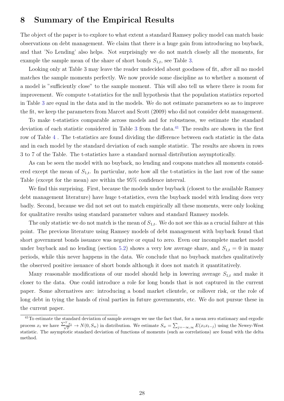# 8 Summary of the Empirical Results

The object of the paper is to explore to what extent a standard Ramsey policy model can match basic observations on debt management. We claim that there is a huge gain from introducing no buyback, and that 'No Lending' also helps. Not surprisingly we do not match closely all the moments, for example the sample mean of the share of short bonds  $S_{1,t}$ , see Table [3.](#page-39-0)

Looking only at Table 3 may leave the reader undecided about goodness of fit, after all no model matches the sample moments perfectly. We now provide some discipline as to whether a moment of a model is "sufficiently close" to the sample moment. This will also tell us where there is room for improvement. We compute t-statistics for the null hypothesis that the population statistics reported in Table [3](#page-39-0) are equal in the data and in the models. We do not estimate parameters so as to improve the fit, we keep the parameters from Marcet and Scott (2009) who did not consider debt management.

To make t-statistics comparable across models and for robustness, we estimate the standard deviation of each statistic considered in Table [3](#page-39-0) from the data.<sup>[41](#page-28-0)</sup> The results are shown in the first row of Table [4](#page-39-1) . The t-statistics are found dividing the difference between each statistic in the data and in each model by the standard deviation of each sample statistic. The results are shown in rows 3 to 7 of the Table. The t-statistics have a standard normal distribution asymptotically.

As can be seen the model with no buyback, no lending and coupons matches all moments considered except the mean of  $S_{1,t}$ . In particular, note how all the t-statistics in the last row of the same Table (except for the mean) are within the 95% confidence interval.

We find this surprising. First, because the models under buyback (closest to the available Ramsey debt management literature) have huge t-statistics, even the buyback model with lending does very badly. Second, because we did not set out to match empirically all these moments, were only looking for qualitative results using standard parameter values and standard Ramsey models.

The only statistic we do not match is the mean of  $S_{1,t}$ . We do not see this as a crucial failure at this point. The previous literature using Ramsey models of debt management with buyback found that short government bonds issuance was negative or equal to zero. Even our incomplete market model under buyback and no lending (section [5.2\)](#page-19-1) shows a very low average share, and  $S_{1,t} = 0$  in many periods, while this never happens in the data. We conclude that no buyback matches qualitatively the observed positive issuance of short bonds although it does not match it quantitatively.

Many reasonable modifications of our model should help in lowering average  $S_{1,t}$  and make it closer to the data. One could introduce a role for long bonds that is not captured in the current paper. Some alternatives are: introducing a bond market clientele, or rollover risk, or the role of long debt in tying the hands of rival parties in future governments, etc. We do not pursue these in the current paper.

<span id="page-28-0"></span> $^{41}$ To estimate the standard deviation of sample averages we use the fact that, for a mean zero stationary and ergodic process  $x_t$  we have  $\frac{\sum_{x}^{T} x_t}{\sqrt{T}} \to N(0, S_w)$  in distribution. We estimate  $S_w = \sum_{j=-\infty,\infty} E(x_t x_{t-j})$  using the Newey-West statistic. The asymptotic standard deviation of functions of moments (such as correlations) are found with the delta method.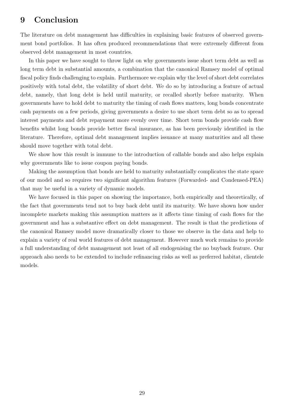# 9 Conclusion

The literature on debt management has difficulties in explaining basic features of observed government bond portfolios. It has often produced recommendations that were extremely different from observed debt management in most countries.

In this paper we have sought to throw light on why governments issue short term debt as well as long term debt in substantial amounts, a combination that the canonical Ramsey model of optimal fiscal policy finds challenging to explain. Furthermore we explain why the level of short debt correlates positively with total debt, the volatility of short debt. We do so by introducing a feature of actual debt, namely, that long debt is held until maturity, or recalled shortly before maturity. When governments have to hold debt to maturity the timing of cash flows matters, long bonds concentrate cash payments on a few periods, giving governments a desire to use short term debt so as to spread interest payments and debt repayment more evenly over time. Short term bonds provide cash flow benefits whilst long bonds provide better fiscal insurance, as has been previously identified in the literature. Therefore, optimal debt management implies issuance at many maturities and all these should move together with total debt.

We show how this result is immune to the introduction of callable bonds and also helps explain why governments like to issue coupon paying bonds.

Making the assumption that bonds are held to maturity substantially complicates the state space of our model and so requires two significant algorithm features (Forwarded- and Condensed-PEA) that may be useful in a variety of dynamic models.

We have focused in this paper on showing the importance, both empirically and theoretically, of the fact that governments tend not to buy back debt until its maturity. We have shown how under incomplete markets making this assumption matters as it affects time timing of cash flows for the government and has a substantive effect on debt management. The result is that the predictions of the canonical Ramsey model move dramatically closer to those we observe in the data and help to explain a variety of real world features of debt management. However much work remains to provide a full understanding of debt management not least of all endogenising the no buyback feature. Our approach also needs to be extended to include refinancing risks as well as preferred habitat, clientele models.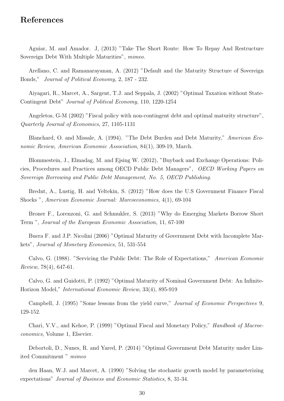# References

Aguiar, M. and Amador. J, (2013) "Take The Short Route: How To Repay And Restructure Sovereign Debt With Multiple Maturities", mimeo.

Arellano, C. and Ramanarayanan, A. (2012) "Default and the Maturity Structure of Sovereign Bonds," Journal of Political Economy, 2, 187 - 232.

Aiyagari, R., Marcet, A., Sargent, T.J. and Seppala, J. (2002) "Optimal Taxation without State-Contingent Debt" Journal of Political Economy, 110, 1220-1254

Angeletos, G-M (2002) "Fiscal policy with non-contingent debt and optimal maturity structure", Quarterly Journal of Economics, 27, 1105-1131

Blanchard, O. and Missale, A. (1994). "The Debt Burden and Debt Maturity," American Economic Review, American Economic Association, 84(1), 309-19, March.

Blommestein, J., Elmadag, M. and Ejsing W. (2012), "Buyback and Exchange Operations: Policies, Procedures and Practices among OECD Public Debt Managers", OECD Working Papers on Sovereign Borrowing and Public Debt Management, No. 5, OECD Publishing.

Brednt, A., Lustig, H. and Yeltekin, S. (2012) "How does the U.S Government Finance Fiscal Shocks ", American Economic Journal: Marcoeconomics, 4(1), 69-104

Broner F., Lorenzoni, G. and Schmukler, S. (2013) "Why do Emerging Markets Borrow Short Term ", Journal of the European Economic Association, 11, 67-100

Buera F. and J.P. Nicolini (2006) "Optimal Maturity of Government Debt with Incomplete Markets", Journal of Monetary Economics, 51, 531-554

Calvo, G. (1988). "Servicing the Public Debt: The Role of Expectations," American Economic Review, 78(4), 647-61.

Calvo, G. and Guidotti, P. (1992) "Optimal Maturity of Nominal Government Debt: An Infinite-Horizon Model," International Economic Review, 33(4), 895-919

Campbell, J. (1995) "Some lessons from the yield curve," Journal of Economic Perspectives 9, 129-152.

Chari, V.V., and Kehoe, P. (1999) "Optimal Fiscal and Monetary Policy," Handbook of Macroeconomics, Volume 1, Elsevier.

Debortoli, D., Nunes, R. and Yared, P. (2014) "Optimal Government Debt Maturity under Limited Commitment " mimeo

den Haan, W.J. and Marcet, A. (1990) "Solving the stochastic growth model by parameterizing expectations" Journal of Business and Economic Statistics, 8, 31-34.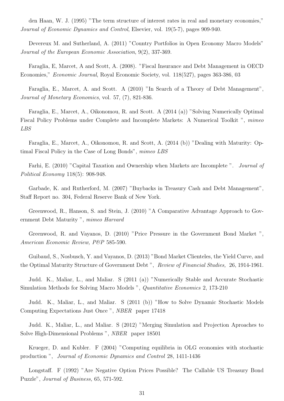den Haan, W. J. (1995) "The term structure of interest rates in real and monetary economies," Journal of Economic Dynamics and Control, Elsevier, vol. 19(5-7), pages 909-940.

Devereux M. and Sutherland, A. (2011) "Country Portfolios in Open Economy Macro Models" Journal of the European Economic Association, 9(2), 337-369.

Faraglia, E, Marcet, A and Scott, A. (2008). "Fiscal Insurance and Debt Management in OECD Economies," Economic Journal, Royal Economic Society, vol. 118(527), pages 363-386, 03

Faraglia, E., Marcet, A. and Scott. A (2010) "In Search of a Theory of Debt Management", Journal of Monetary Economics, vol. 57, (7), 821-836.

Faraglia, E., Marcet, A., Oikonomou, R. and Scott. A (2014 (a)) "Solving Numerically Optimal Fiscal Policy Problems under Complete and Incomplete Markets: A Numerical Toolkit ", mimeo LBS

Faraglia, E., Marcet, A., Oikonomou, R. and Scott, A. (2014 (b)) "Dealing with Maturity: Optimal Fiscal Policy in the Case of Long Bonds", mimeo LBS

Farhi, E. (2010) "Capital Taxation and Ownership when Markets are Incomplete ". Journal of Political Economy 118(5): 908-948.

Garbade, K. and Rutherford, M. (2007) "Buybacks in Treasury Cash and Debt Management", Staff Report no. 304, Federal Reserve Bank of New York.

Greenwood, R., Hanson, S. and Stein, J. (2010) "A Comparative Advantage Approach to Government Debt Maturity ", mimeo Harvard

Greenwood, R. and Vayanos, D. (2010) "Price Pressure in the Government Bond Market ", American Economic Review, P&P 585-590.

Guibaud, S., Nosbusch, Y. and Vayanos, D. (2013) "Bond Market Clienteles, the Yield Curve, and the Optimal Maturity Structure of Government Debt ", Review of Financial Studies, 26, 1914-1961.

Judd. K., Maliar, L., and Maliar. S (2011 (a)) "Numerically Stable and Accurate Stochastic Simulation Methods for Solving Macro Models ", Quantitative Economics 2, 173-210

Judd. K., Maliar, L., and Maliar. S (2011 (b)) "How to Solve Dynamic Stochastic Models Computing Expectations Just Once ", NBER paper 17418

Judd. K., Maliar, L., and Maliar. S (2012) "Merging Simulation and Projection Aproaches to Solve High-Dimensional Problems ", NBER paper 18501

Krueger, D. and Kubler. F (2004) "Computing equilibria in OLG economies with stochastic production ", Journal of Economic Dynamics and Control 28, 1411-1436

Longstaff. F (1992) "Are Negative Option Prices Possible? The Callable US Treasury Bond Puzzle", Journal of Business, 65, 571-592.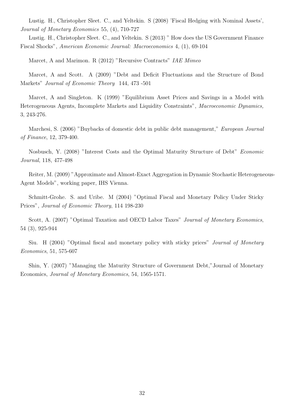Lustig. H., Christopher Sleet. C., and Yeltekin. S (2008) 'Fiscal Hedging with Nominal Assets', Journal of Monetary Economics 55, (4), 710-727

Lustig. H., Christopher Sleet. C., and Yeltekin. S (2013) " How does the US Government Finance Fiscal Shocks", American Economic Journal: Macroeconomics 4, (1), 69-104

Marcet, A and Marimon. R (2012) "Recursive Contracts" IAE Mimeo

Marcet, A and Scott. A (2009) "Debt and Deficit Fluctuations and the Structure of Bond Markets" Journal of Economic Theory 144, 473 -501

Marcet, A and Singleton. K (1999) "Equilibrium Asset Prices and Savings in a Model with Heterogeneous Agents, Incomplete Markets and Liquidity Constraints", Macroeconomic Dynamics, 3, 243-276.

Marchesi, S. (2006) "Buybacks of domestic debt in public debt management," European Journal of Finance, 12, 379-400.

Nosbusch, Y. (2008) "Interest Costs and the Optimal Maturity Structure of Debt" Economic Journal, 118, 477-498

Reiter, M. (2009) "Approximate and Almost-Exact Aggregation in Dynamic Stochastic Heterogeneous-Agent Models", working paper, IHS Vienna.

Schmitt-Grohe. S. and Uribe. M (2004) "Optimal Fiscal and Monetary Policy Under Sticky Prices", Journal of Economic Theory, 114 198-230

Scott, A. (2007) "Optimal Taxation and OECD Labor Taxes" *Journal of Monetary Economics*, 54 (3), 925-944

Siu. H (2004) "Optimal fiscal and monetary policy with sticky prices" Journal of Monetary Economics, 51, 575-607

Shin, Y. (2007) "Managing the Maturity Structure of Government Debt,"Journal of Monetary Economics, Journal of Monetary Economics, 54, 1565-1571.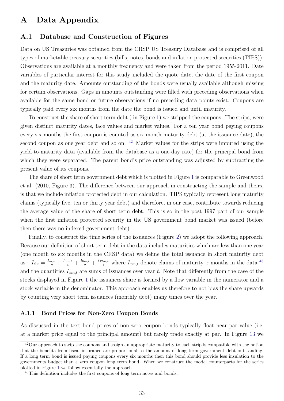# A Data Appendix

# A.1 Database and Construction of Figures

Data on US Treasuries was obtained from the CRSP US Treasury Database and is comprised of all types of marketable treasury securities (bills, notes, bonds and inflation protected securities (TIPS)). Observations are available at a monthly frequency and were taken from the period 1955-2011. Date variables of particular interest for this study included the quote date, the date of the first coupon and the maturity date. Amounts outstanding of the bonds were usually available although missing for certain observations. Gaps in amounts outstanding were filled with preceding observations when available for the same bond or future observations if no preceding data points exist. Coupons are typically paid every six months from the date the bond is issued and until maturity.

To construct the share of short term debt ( in Figure [1\)](#page-41-0) we stripped the coupons. The strips, were given distinct maturity dates, face values and market values. For a ten year bond paying coupons every six months the first coupon is counted as six month maturity debt (at the issuance date), the second coupon as one year debt and so on. <sup>[42](#page-33-0)</sup> Market values for the strips were imputed using the yield-to-maturity data (available from the database as a one-day rate) for the principal bond from which they were separated. The parent bond's price outstanding was adjusted by subtracting the present value of its coupons.

The share of short term government debt which is plotted in Figure [1](#page-41-0) is comparable to Greenwood et al. (2010, Figure 3). The difference between our approach in constructing the sample and theirs, is that we include inflation protected debt in our calculation. TIPS typically represent long maturity claims (typically five, ten or thirty year debt) and therefore, in our case, contribute towards reducing the average value of the share of short term debt. This is so in the post 1997 part of our sample when the first inflation protected security in the US government bond market was issued (before then there was no indexed government debt).

Finally, to construct the time series of the issuances (Figure [2\)](#page-42-0) we adopt the following approach. Because our definition of short term debt in the data includes maturities which are less than one year (one month to six months in the CRSP data) we define the total issuance in short maturity debt as :  $I_{S,t} = \frac{I_{m,t}}{12} + \frac{I_{3m,t}}{4} + \frac{I_{6m,t}}{2} + \frac{I_{12m,t}}{1}$  where  $I_{xm,t}$  denote claims of maturity x months in the data <sup>[43](#page-33-1)</sup> and the quantities  $I_{xm,t}$  are sums of issuances over year t. Note that differently from the case of the stocks displayed in Figure [1](#page-41-0) the issuances share is formed by a flow variable in the numerator and a stock variable in the denominator. This approach enables us therefore to not bias the share upwards by counting very short term issuances (monthly debt) many times over the year.

#### A.1.1 Bond Prices for Non-Zero Coupon Bonds

As discussed in the text bond prices of non zero coupon bonds typically float near par value (i.e. at a market price equal to the principal amount) but rarely trade exactly at par. In Figure [13](#page-53-0) we

<span id="page-33-0"></span><sup>&</sup>lt;sup>42</sup>Our approach to strip the coupons and assign an appropriate maturity to each strip is compatible with the notion that the benefits from fiscal insurance are proportional to the amount of long term government debt outstanding. If a long term bond is issued paying coupons every six months then this bond should provide less insulation to the governments budget than a zero coupon long term bond. When we construct the model counterparts for the series plotted in Figure [1](#page-41-0) we follow essentially the approach.

<span id="page-33-1"></span><sup>&</sup>lt;sup>43</sup>This definition includes the first coupons of long term notes and bonds.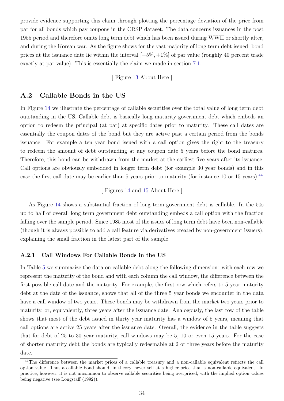provide evidence supporting this claim through plotting the percentage deviation of the price from par for all bonds which pay coupons in the CRSP dataset. The data concerns issuances in the post 1955 period and therefore omits long term debt which has been issued during WWII or shortly after, and during the Korean war. As the figure shows for the vast majority of long term debt issued, bond prices at the issuance date lie within the interval [−5%, +1%] of par value (roughly 40 percent trade exactly at par value). This is essentially the claim we made in section [7.1.](#page-25-2)

#### [ Figure [13](#page-53-0) About Here ]

# <span id="page-34-0"></span>A.2 Callable Bonds in the US

In Figure [14](#page-54-0) we illustrate the percentage of callable securities over the total value of long term debt outstanding in the US. Callable debt is basically long maturity government debt which embeds an option to redeem the principal (at par) at specific dates prior to maturity. These call dates are essentially the coupon dates of the bond but they are active past a certain period from the bonds issuance. For example a ten year bond issued with a call option gives the right to the treasury to redeem the amount of debt outstanding at any coupon date 5 years before the bond matures. Therefore, this bond can be withdrawn from the market at the earliest five years after its issuance. Call options are obviously embedded in longer term debt (for example 30 year bonds) and in this case the first call date may be earlier than 5 years prior to maturity (for instance 10 or 15 years).<sup>[44](#page-34-1)</sup>

[ Figures [14](#page-54-0) and [15](#page-55-0) About Here ]

As Figure [14](#page-54-0) shows a substantial fraction of long term government debt is callable. In the 50s up to half of overall long term government debt outstanding embeds a call option with the fraction falling over the sample period. Since 1985 most of the issues of long term debt have been non-callable (though it is always possible to add a call feature via derivatives created by non-government issuers), explaining the small fraction in the latest part of the sample.

#### A.2.1 Call Windows For Callable Bonds in the US

In Table [5](#page-40-0) we summarize the data on callable debt along the following dimension: with each row we represent the maturity of the bond and with each column the call window, the difference between the first possible call date and the maturity. For example, the first row which refers to 5 year maturity debt at the date of the issuance, shows that all of the three 5 year bonds we encounter in the data have a call window of two years. These bonds may be withdrawn from the market two years prior to maturity, or, equivalently, three years after the issuance date. Analogously, the last row of the table shows that most of the debt issued in thirty year maturity has a window of 5 years, meaning that call options are active 25 years after the issuance date. Overall, the evidence in the table suggests that for debt of 25 to 30 year maturity, call windows may be 5, 10 or even 15 years. For the case of shorter maturity debt the bonds are typically redeemable at 2 or three years before the maturity date.

<span id="page-34-1"></span><sup>&</sup>lt;sup>44</sup>The difference between the market prices of a callable treasury and a non-callable equivalent reflects the call option value. Thus a callable bond should, in theory, never sell at a higher price than a non-callable equivalent. In practice, however, it is not uncommon to observe callable securities being overpriced, with the implied option values being negative (see Longstaff (1992)).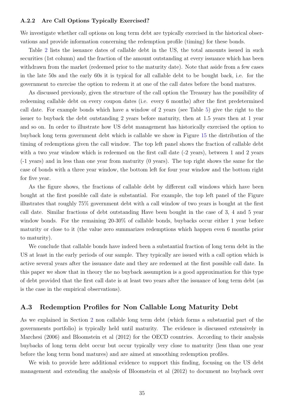#### A.2.2 Are Call Options Typically Exercised?

We investigate whether call options on long term debt are typically exercised in the historical observations and provide information concerning the redemption profile (timing) for these bonds.

Table [2](#page-38-0) lists the issuance dates of callable debt in the US, the total amounts issued in such securities (1st column) and the fraction of the amount outstanding at every issuance which has been withdrawn from the market (redeemed prior to the maturity date). Note that aside from a few cases in the late 50s and the early 60s it is typical for all callable debt to be bought back, i.e. for the government to exercise the option to redeem it at one of the call dates before the bond matures.

As discussed previously, given the structure of the call option the Treasury has the possibility of redeeming callable debt on every coupon dates (i.e. every 6 months) after the first predetermined call date. For example bonds which have a window of 2 years (see Table [5\)](#page-40-0) give the right to the issuer to buyback the debt outstanding 2 years before maturity, then at 1.5 years then at 1 year and so on. In order to illustrate how US debt management has historically exercised the option to buyback long term government debt which is callable we show in Figure [15](#page-55-0) the distribution of the timing of redemptions given the call window. The top left panel shows the fraction of callable debt with a two year window which is redeemed on the first call date  $(-2 \text{ years})$ , between 1 and 2 years (-1 years) and in less than one year from maturity (0 years). The top right shows the same for the case of bonds with a three year window, the bottom left for four year window and the bottom right for five year.

As the figure shows, the fractions of callable debt by different call windows which have been bought at the first possible call date is substantial. For example, the top left panel of the Figure illustrates that roughly 75% government debt with a call window of two years is bought at the first call date. Similar fractions of debt outstanding Have been bought in the case of 3, 4 and 5 year window bonds. For the remaining 20-30% of callable bonds, buybacks occur either 1 year before maturity or close to it (the value zero summarizes redemptions which happen even 6 months prior to maturity).

We conclude that callable bonds have indeed been a substantial fraction of long term debt in the US at least in the early periods of our sample. They typically are issued with a call option which is active several years after the issuance date and they are redeemed at the first possible call date. In this paper we show that in theory the no buyback assumption is a good approximation for this type of debt provided that the first call date is at least two years after the issuance of long term debt (as is the case in the empirical observations).

# A.3 Redemption Profiles for Non Callable Long Maturity Debt

As we explained in Section [2](#page-5-3) non callable long term debt (which forms a substantial part of the governments portfolio) is typically held until maturity. The evidence is discussed extensively in Marchesi (2006) and Bloomstein et al (2012) for the OECD countries. According to their analysis buybacks of long term debt occur but occur typically very close to maturity (less than one year before the long term bond matures) and are aimed at smoothing redemption profiles.

We wish to provide here additional evidence to support this finding, focusing on the US debt management and extending the analysis of Bloomstein et al (2012) to document no buyback over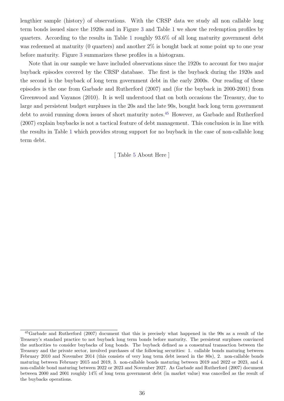lengthier sample (history) of observations. With the CRSP data we study all non callable long term bonds issued since the 1920s and in Figure [3](#page-43-0) and Table [1](#page-37-0) we show the redemption profiles by quarters. According to the results in Table [1](#page-37-0) roughly 93.6% of all long maturity government debt was redeemed at maturity (0 quarters) and another  $2\%$  is bought back at some point up to one year before maturity. Figure [3](#page-43-0) summarizes these profiles in a histogram.

Note that in our sample we have included observations since the 1920s to account for two major buyback episodes covered by the CRSP database. The first is the buyback during the 1920s and the second is the buyback of long term government debt in the early 2000s. Our reading of these episodes is the one from Garbade and Rutherford (2007) and (for the buyback in 2000-2001) from Greenwood and Vayanos (2010). It is well understood that on both occasions the Treasury, due to large and persistent budget surpluses in the 20s and the late 90s, bought back long term government debt to avoid running down issues of short maturity notes.<sup>[45](#page-36-0)</sup> However, as Garbade and Rutherford (2007) explain buybacks is not a tactical feature of debt management. This conclusion is in line with the results in Table [1](#page-37-0) which provides strong support for no buyback in the case of non-callable long term debt.

[ Table [5](#page-40-0) About Here ]

<span id="page-36-0"></span><sup>45</sup>Garbade and Rutherford (2007) document that this is precisely what happened in the 90s as a result of the Treasury's standard practice to not buyback long term bonds before maturity. The persistent surpluses convinced the authorities to consider buybacks of long bonds. The buyback defined as a consentual transaction between the Treasury and the private sector, involved purchases of the following securities: 1. callable bonds maturing between February 2010 and November 2014 (this consists of very long term debt issued in the 80s), 2. non-callable bonds maturing between February 2015 and 2019, 3. non-callable bonds maturing between 2019 and 2022 or 2023, and 4. non-callable bond maturing between 2022 or 2023 and November 2027. As Garbade and Rutherford (2007) document between 2000 and 2001 roughly 14% of long term government debt (in market value) was cancelled as the result of the buybacks operations.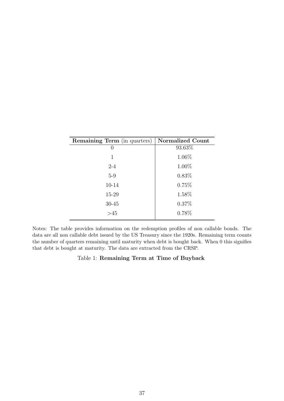| <b>Remaining Term</b> (in quarters) | <b>Normalized Count</b> |
|-------------------------------------|-------------------------|
| $\cup$                              | 93.63%                  |
| 1                                   | 1.06%                   |
| $2 - 4$                             | 1.00%                   |
| $5-9$                               | $0.83\%$                |
| 10-14                               | 0.75%                   |
| 15-29                               | 1.58%                   |
| $30 - 45$                           | 0.37%                   |
| >45                                 | 0.78%                   |

Notes: The table provides information on the redemption profiles of non callable bonds. The data are all non callable debt issued by the US Treasury since the 1920s. Remaining term counts the number of quarters remaining until maturity when debt is bought back. When 0 this signifies that debt is bought at maturity. The data are extracted from the CRSP.

### <span id="page-37-0"></span>Table 1: Remaining Term at Time of Buyback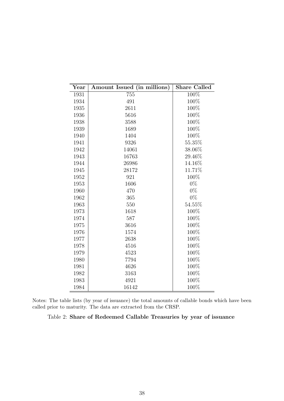| $\operatorname{Year}$ | Amount Issued (in millions) | <b>Share Called</b> |
|-----------------------|-----------------------------|---------------------|
| 1931                  | 755                         | 100%                |
| 1934                  | 491                         | 100%                |
| 1935                  | 2611                        | 100%                |
| 1936                  | 5616                        | 100%                |
| 1938                  | 3588                        | 100%                |
| 1939                  | 1689                        | 100%                |
| 1940                  | 1404                        | 100%                |
| 1941                  | 9326                        | 55.35%              |
| 1942                  | 14061                       | 38.06%              |
| 1943                  | 16763                       | 29.46\%             |
| 1944                  | 26986                       | 14.16%              |
| 1945                  | 28172                       | 11.71%              |
| 1952                  | 921                         | 100%                |
| 1953                  | 1606                        | $0\%$               |
| 1960                  | 470                         | $0\%$               |
| 1962                  | 365                         | $0\%$               |
| 1963                  | 550                         | 54.55%              |
| 1973                  | 1618                        | 100%                |
| 1974                  | 587                         | 100%                |
| 1975                  | 3616                        | 100%                |
| 1976                  | 1574                        | 100%                |
| 1977                  | 2638                        | 100%                |
| 1978                  | 4516                        | 100%                |
| 1979                  | 4523                        | 100%                |
| 1980                  | 7794                        | 100%                |
| 1981                  | 4626                        | 100%                |
| 1982                  | 3163                        | $100\%$             |
| 1983                  | 4921                        | 100%                |
| 1984                  | 16142                       | 100%                |

Notes: The table lists (by year of issuance) the total amounts of callable bonds which have been called prior to maturity. The data are extracted from the CRSP.

<span id="page-38-0"></span>Table 2: Share of Redeemed Callable Treasuries by year of issuance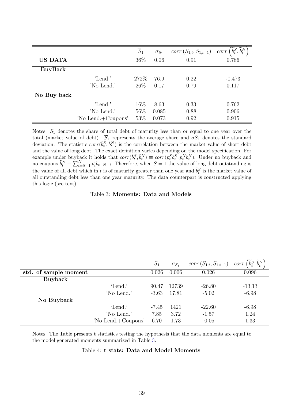|                |                    | $\overline{S}_1$ | $\sigma_{S_1}$ | $corr(S_{1,t}, S_{1,t-1})$ | $\widetilde{b}_t^S, \widetilde{b}_t^N$<br>corr |
|----------------|--------------------|------------------|----------------|----------------------------|------------------------------------------------|
| <b>US DATA</b> |                    | 36\%             | 0.06           | 0.91                       | 0.786                                          |
| <b>BuyBack</b> |                    |                  |                |                            |                                                |
|                | 'Lend.'            | 272\%            | 76.9           | 0.22                       | $-0.473$                                       |
|                | 'No Lend.'         | $26\%$           | 0.17           | 0.79                       | 0.117                                          |
| No Buy back    |                    |                  |                |                            |                                                |
|                | 'Lend.'            | 16\%             | 8.63           | 0.33                       | 0.762                                          |
|                | 'No Lend.'         | 56\%             | 0.085          | 0.88                       | 0.906                                          |
|                | 'No Lend.+Coupons' | 53%              | 0.073          | 0.92                       | 0.915                                          |

Notes:  $S_1$  denotes the share of total debt of maturity less than or equal to one year over the total (market value of debt).  $\overline{S}_1$  represents the average share and  $\sigma S_1$  denotes the standard deviation. The statistic  $corr(\tilde{b}_t^S, \tilde{b}_t^N)$  is the correlation between the market value of short debt and the value of long debt. The exact definition varies depending on the model specification. For example under buyback it holds that  $corr(\tilde{b}_t^S, \tilde{b}_t^N) \equiv corr(p_t^S b_t^S, p_t^N b_t^N)$ . Under no buyback and no coupons  $\tilde{b}_t^N \equiv \sum_{i=S+1}^N p_t^i b_{t-N+i}$ . Therefore, when  $S=1$  the value of long debt outstanding is the value of all debt which in t is of maturity greater than one year and  $\tilde{b}_t^S$  is the market value of all outstanding debt less than one year maturity. The data counterpart is constructed applying this logic (see text).

#### <span id="page-39-0"></span>Table 3: Moments: Data and Models

|                       |                    | $\overline{S}_1$ | $\sigma_{S_1}$ | $corr(S_{1,t}, S_{1,t-1})$ | $\widetilde{b}_t^S, \widetilde{b}_t^N$<br>corr |
|-----------------------|--------------------|------------------|----------------|----------------------------|------------------------------------------------|
| std. of sample moment |                    | 0.026            | 0.006          | 0.026                      | 0.096                                          |
| <b>Buyback</b>        |                    |                  |                |                            |                                                |
|                       | 'Lend.'            | 90.47            | 12739          | $-26.80$                   | $-13.13$                                       |
|                       | 'No Lend.'         | $-3.63$          | 17.81          | $-5.02$                    | $-6.98$                                        |
| No Buyback            |                    |                  |                |                            |                                                |
|                       | 'Lend.'            | $-7.45$          | 1421           | $-22.60$                   | $-6.98$                                        |
|                       | 'No Lend.'         | 7.85             | 3.72           | $-1.57$                    | 1.24                                           |
|                       | 'No Lend.+Coupons' | 6.70             | 1.73           | $-0.05$                    | 1.33                                           |

Notes: The Table presents t statistics testing the hypothesis that the data moments are equal to the model generated moments summarized in Table [3.](#page-39-0)

#### <span id="page-39-1"></span>Table 4: t stats: Data and Model Moments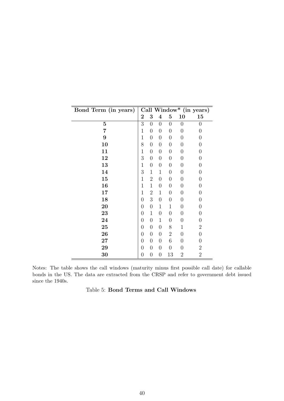| Bond Term (in years) |                  |                  |                  |                  |                  | Call Window* (in years) |
|----------------------|------------------|------------------|------------------|------------------|------------------|-------------------------|
|                      | $\bf{2}$         | 3                | $\boldsymbol{4}$ | $\bf{5}$         | 10               | 15                      |
| $\mathbf{5}$         | 3                | $\boldsymbol{0}$ | $\boldsymbol{0}$ | $\overline{0}$   | $\overline{0}$   | $\overline{0}$          |
| 7                    | $\mathbf{1}$     | $\overline{0}$   | $\boldsymbol{0}$ | $\overline{0}$   | $\boldsymbol{0}$ | $\overline{0}$          |
| $\boldsymbol{9}$     | $\mathbf 1$      | $\boldsymbol{0}$ | $\boldsymbol{0}$ | $\boldsymbol{0}$ | 0                | $\boldsymbol{0}$        |
| 10                   | 8                | $\boldsymbol{0}$ | $\boldsymbol{0}$ | $\overline{0}$   | $\overline{0}$   | $\overline{0}$          |
| 11                   | $\mathbf 1$      | $\boldsymbol{0}$ | $\boldsymbol{0}$ | $\overline{0}$   | $\boldsymbol{0}$ | $\boldsymbol{0}$        |
| 12                   | 3                | $\boldsymbol{0}$ | $\boldsymbol{0}$ | $\boldsymbol{0}$ | 0                | $\boldsymbol{0}$        |
| 13                   | $\mathbf{1}$     | $\boldsymbol{0}$ | $\boldsymbol{0}$ | $\overline{0}$   | $\overline{0}$   | $\overline{0}$          |
| 14                   | 3                | $\mathbf{1}$     | $\mathbf{1}$     | $\boldsymbol{0}$ | $\boldsymbol{0}$ | $\overline{0}$          |
| 15                   | $\mathbf 1$      | $\overline{2}$   | $\boldsymbol{0}$ | $\overline{0}$   | $\boldsymbol{0}$ | $\boldsymbol{0}$        |
| 16                   | $\mathbf{1}$     | $\mathbf{1}$     | $\boldsymbol{0}$ | $\overline{0}$   | $\overline{0}$   | $\overline{0}$          |
| 17                   | $\mathbf{1}$     | $\overline{2}$   | $\mathbf{1}$     | $\overline{0}$   | $\boldsymbol{0}$ | $\overline{0}$          |
| 18                   | $\overline{0}$   | 3                | $\boldsymbol{0}$ | $\overline{0}$   | $\boldsymbol{0}$ | $\boldsymbol{0}$        |
| 20                   | $\overline{0}$   | $\boldsymbol{0}$ | $\mathbf{1}$     | $\mathbf 1$      | 0                | $\overline{0}$          |
| 23                   | $\boldsymbol{0}$ | $\mathbf{1}$     | $\boldsymbol{0}$ | $\overline{0}$   | $\boldsymbol{0}$ | $\boldsymbol{0}$        |
| 24                   | $\boldsymbol{0}$ | $\overline{0}$   | $\mathbf{1}$     | $\boldsymbol{0}$ | 0                | $\boldsymbol{0}$        |
| 25                   | $\overline{0}$   | $\overline{0}$   | $\boldsymbol{0}$ | 8                | 1                | $\sqrt{2}$              |
| 26                   | $\overline{0}$   | $\boldsymbol{0}$ | $\boldsymbol{0}$ | $\overline{2}$   | $\boldsymbol{0}$ | $\boldsymbol{0}$        |
| $27\,$               | $\boldsymbol{0}$ | $\boldsymbol{0}$ | $\boldsymbol{0}$ | 6                | $\overline{0}$   | $\boldsymbol{0}$        |
| 29                   | $\overline{0}$   | $\overline{0}$   | $\boldsymbol{0}$ | $\overline{0}$   | $\overline{0}$   | $\sqrt{2}$              |
| 30                   | $\overline{0}$   | $\boldsymbol{0}$ | $\boldsymbol{0}$ | 13               | $\overline{2}$   | $\overline{2}$          |

Notes: The table shows the call windows (maturity minus first possible call date) for callable bonds in the US. The data are extracted from the CRSP and refer to government debt issued since the 1940s.

<span id="page-40-0"></span>

| Table 5: Bond Terms and Call Windows |  |  |
|--------------------------------------|--|--|
|                                      |  |  |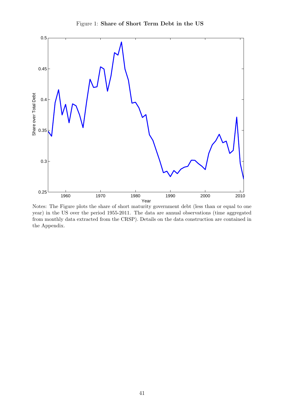

<span id="page-41-0"></span>Figure 1: Share of Short Term Debt in the US

Notes: The Figure plots the share of short maturity government debt (less than or equal to one year) in the US over the period 1955-2011. The data are annual observations (time aggregated from monthly data extracted from the CRSP). Details on the data construction are contained in the Appendix.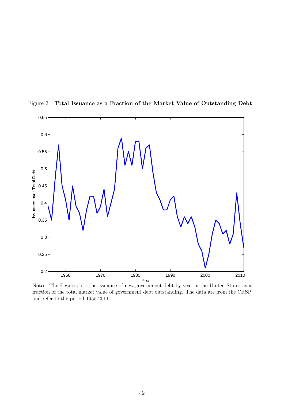

<span id="page-42-0"></span>Figure 2: Total Issuance as a Fraction of the Market Value of Outstanding Debt

Notes: The Figure plots the issuance of new government debt by year in the United States as a fraction of the total market value of government debt outstanding. The data are from the CRSP and refer to the period 1955-2011.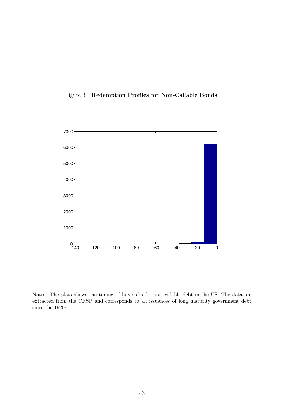<span id="page-43-0"></span>



Notes: The plots shows the timing of buybacks for non-callable debt in the US. The data are extracted from the CRSP and corresponds to all issuances of long maturity government debt since the 1920s.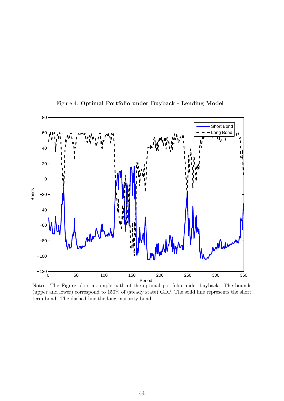

<span id="page-44-0"></span>Figure 4: Optimal Portfolio under Buyback - Lending Model

Notes: The Figure plots a sample path of the optimal portfolio under buyback. The bounds (upper and lower) correspond to 150% of (steady state) GDP. The solid line represents the short term bond. The dashed line the long maturity bond.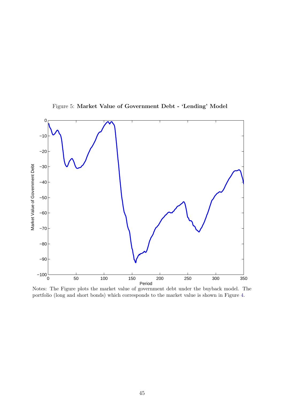

<span id="page-45-0"></span>Figure 5: Market Value of Government Debt - 'Lending' Model

Notes: The Figure plots the market value of government debt under the buyback model. The portfolio (long and short bonds) which corresponds to the market value is shown in Figure [4.](#page-44-0)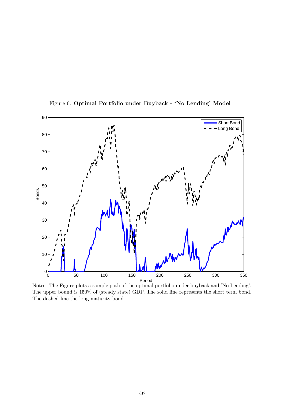

<span id="page-46-0"></span>Figure 6: Optimal Portfolio under Buyback - 'No Lending' Model

Notes: The Figure plots a sample path of the optimal portfolio under buyback and 'No Lending'. The upper bound is 150% of (steady state) GDP. The solid line represents the short term bond. The dashed line the long maturity bond.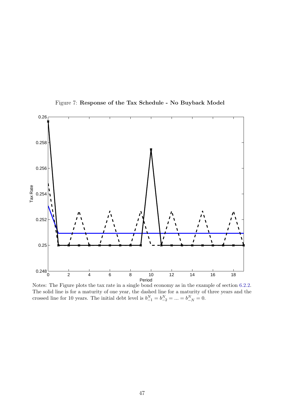

<span id="page-47-0"></span>Figure 7: Response of the Tax Schedule - No Buyback Model

Notes: The Figure plots the tax rate in a single bond economy as in the example of section [6.2.2.](#page-22-2) The solid line is for a maturity of one year, the dashed line for a maturity of three years and the crossed line for 10 years. The initial debt level is  $b_{-1}^N = b_{-2}^N = \ldots = b_{-N}^N = 0$ .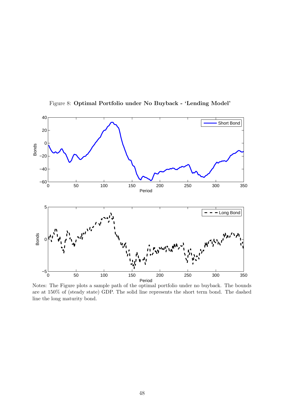

<span id="page-48-0"></span>Figure 8: Optimal Portfolio under No Buyback - 'Lending Model'

Notes: The Figure plots a sample path of the optimal portfolio under no buyback. The bounds are at 150% of (steady state) GDP. The solid line represents the short term bond. The dashed line the long maturity bond.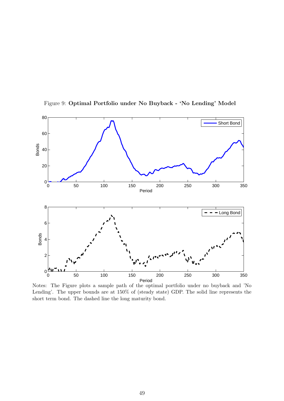

<span id="page-49-0"></span>Figure 9: Optimal Portfolio under No Buyback - 'No Lending' Model

Notes: The Figure plots a sample path of the optimal portfolio under no buyback and 'No Lending'. The upper bounds are at 150% of (steady state) GDP. The solid line represents the short term bond. The dashed line the long maturity bond.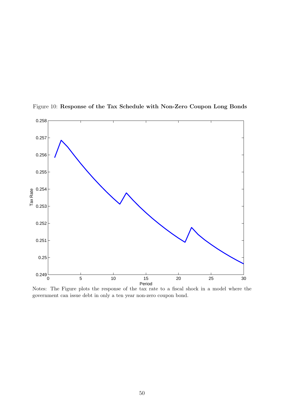

<span id="page-50-0"></span>Figure 10: Response of the Tax Schedule with Non-Zero Coupon Long Bonds

Notes: The Figure plots the response of the tax rate to a fiscal shock in a model where the government can issue debt in only a ten year non-zero coupon bond.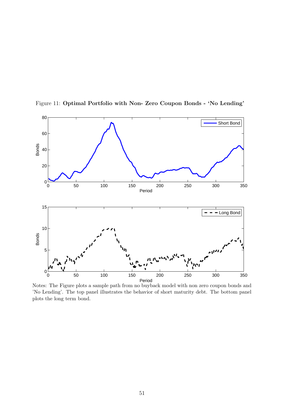

<span id="page-51-0"></span>Figure 11: Optimal Portfolio with Non- Zero Coupon Bonds - 'No Lending'

Notes: The Figure plots a sample path from no buyback model with non zero coupon bonds and 'No Lending'. The top panel illustrates the behavior of short maturity debt. The bottom panel plots the long term bond.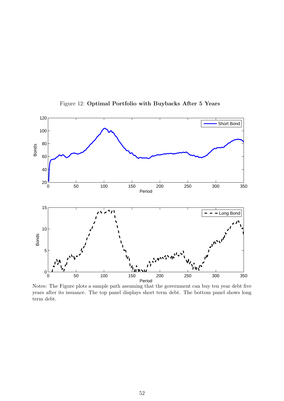

<span id="page-52-0"></span>Figure 12: Optimal Portfolio with Buybacks After 5 Years

Notes: The Figure plots a sample path assuming that the government can buy ten year debt five years after its issuance. The top panel displays short term debt. The bottom panel shows long term debt.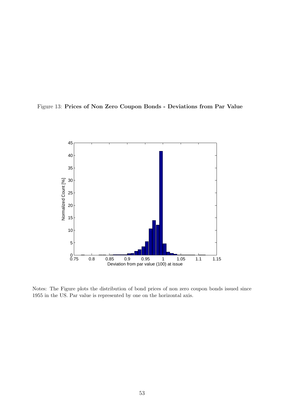

<span id="page-53-0"></span>

Notes: The Figure plots the distribution of bond prices of non zero coupon bonds issued since 1955 in the US. Par value is represented by one on the horizontal axis.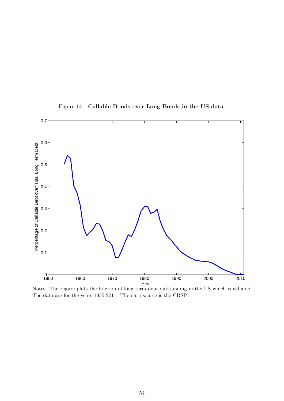

<span id="page-54-0"></span>Figure 14: Callable Bonds over Long Bonds in the US data

Notes: The Figure plots the fraction of long term debt outstanding in the US which is callable. The data are for the years 1955-2011. The data source is the CRSP.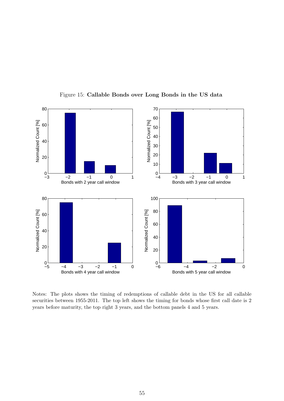

<span id="page-55-0"></span>Figure 15: Callable Bonds over Long Bonds in the US data

Notes: The plots shows the timing of redemptions of callable debt in the US for all callable securities between 1955-2011. The top left shows the timing for bonds whose first call date is 2 years before maturity, the top right 3 years, and the bottom panels 4 and 5 years.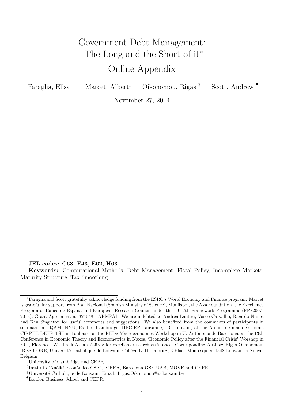# Government Debt Management: The Long and the Short of it<sup>\*</sup> Online Appendix

| Faraglia, Elisa <sup>†</sup> | Marcet, Albert <sup><math>\bar{t}</math></sup> | Oikonomou, Rigas <sup>§</sup> | Scott, Andrew |
|------------------------------|------------------------------------------------|-------------------------------|---------------|
|                              |                                                |                               |               |

November 27, 2014

JEL codes: C63, E43, E62, H63

Keywords: Computational Methods, Debt Management, Fiscal Policy, Incomplete Markets, Maturity Structure, Tax Smoothing

<sup>∗</sup>Faraglia and Scott gratefully acknowledge funding from the ESRC's World Economy and Finance program. Marcet is grateful for support from Plan Nacional (Spanish Ministry of Science), Monfispol, the Axa Foundation, the Excellence Program of Banco de España and European Research Council under the EU 7th Framework Programme (FP/2007-2013), Grant Agreement n. 324048 - APMPAL. We are indebted to Andrea Lanteri, Vasco Carvalho, Ricardo Nunes and Ken Singleton for useful comments and suggestions. We also benefited from the comments of participants in seminars in UQAM, NYU, Exeter, Cambridge, HEC-EP Lausanne, UC Louvain, at the Atelier de macroeconomie CIRPEE-DEEP-TSE in Toulouse, at the REDg Macroeconomics Workshop in U. Autònoma de Barcelona, at the 13th Conference in Economic Theory and Econometrics in Naxos, 'Economic Policy after the Financial Crisis' Worshop in EUI, Florence. We thank Athan Zafirov for excellent research assistance. Corresponding Author: Rigas Oikonomou, IRES-CORE, Université Catholique de Louvain, Collège L. H. Dupriez, 3 Place Montesquieu 1348 Louvain la Neuve, Belgium.

<sup>†</sup>University of Cambridge and CEPR.

<sup>&</sup>lt;sup>‡</sup>Institut d'Anàlisi Econòmica-CSIC, ICREA, Barcelona GSE UAB, MOVE and CEPR.

<sup>&</sup>lt;sup>§</sup>Université Catholique de Louvain. Email: Rigas.Oikonomou@uclouvain.be

<sup>¶</sup>London Business School and CEPR.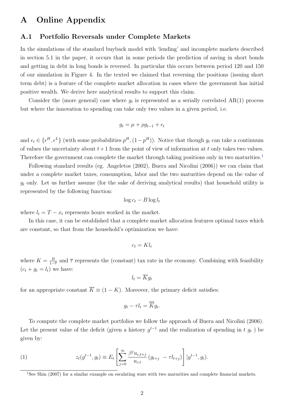# A Online Appendix

# A.1 Portfolio Reversals under Complete Markets

In the simulations of the standard buyback model with 'lending' and incomplete markets described in section 5.1 in the paper, it occurs that in some periods the prediction of saving in short bonds and getting in debt in long bonds is reversed. In particular this occurs between period 120 and 150 of our simulation in Figure 4. In the texted we claimed that reversing the positions (issuing short term debt) is a feature of the complete market allocation in cases where the government has initial positive wealth. We derive here analytical results to support this claim.

Consider the (more general) case where  $g_t$  is represented as a serially correlated AR(1) process but where the innovation to spending can take only two values in a given period, i.e.

$$
g_t = \mu + \rho g_{t-1} + \epsilon_t
$$

and  $\epsilon_t \in {\{\epsilon^H, \epsilon^L\}}$  (with some probabilities  $p^H, (1-p^H)$ ). Notice that though  $g_t$  can take a continuum of values the uncertainty about  $t+1$  from the point of view of information at t only takes two values. Therefore the government can complete the market through taking positions only in two maturities.<sup>[1](#page-57-0)</sup>

Following standard results (eg. Angeletos (2002), Buera and Nicolini (2006)) we can claim that under a complete market taxes, consumption, labor and the two maturities depend on the value of  $g_t$  only. Let us further assume (for the sake of deriving analytical results) that household utility is represented by the following function:

$$
\log c_t - B \log l_t
$$

where  $l_t = T - x_t$  represents hours worked in the market.

In this case, it can be established that a complete market allocation features optimal taxes which are constant, so that from the household's optimization we have:

$$
c_t=Kl_t
$$

where  $K = \frac{B}{1}$  $\frac{B}{1-\overline{\tau}}$  and  $\overline{\tau}$  represents the (constant) tax rate in the economy. Combining with feasibility  $(c_t + g_t = l_t)$  we have:

$$
l_t = \overline{K}g_t
$$

for an appropriate constant  $\overline{K} \equiv (1 - K)$ . Moreover, the primary deficit satisfies:

$$
g_t - \tau l_t = \overline{K} g_t.
$$

To compute the complete market portfolios we follow the approach of Buera and Nicolini (2006). Let the present value of the deficit (given a history  $g^{t-1}$  and the realization of spending in t  $g_t$ ) be given by:

(1) 
$$
z_t(g^{t-1}, g_t) \equiv E_t \left[ \sum_{j=0}^{\infty} \frac{\beta^j u_{c,t+j}}{u_{c,t}} (g_{t+j} - \tau l_{t+j}) \right] | g^{t-1}, g_t).
$$

<span id="page-57-0"></span><sup>1</sup>See Shin (2007) for a similar example on escalating wars with two maturities and complete financial markets.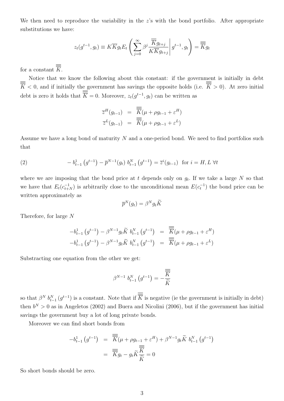We then need to reproduce the variability in the  $z$ 's with the bond portfolio. After appropriate substitutions we have:

$$
z_t(g^{t-1}, g_t) \equiv K \overline{K} g_t E_t \left( \sum_{j=0}^{\infty} \beta^j \frac{\overline{\overline{K}} g_{t+j}}{K \overline{K} g_{t+j}} \middle| g^{t-1}, g_t \right) = \overline{\overline{K}} g_t
$$

for a constant  $\overline{\overline{\overline{K}}}$ .

Notice that we know the following about this constant: if the government is initially in debt  $\sqrt{\overline{K}}$  < 0, and if initially the government has savings the opposite holds (i.e.  $\frac{1}{\overline{K}} > 0$ ). At zero initial debt is zero it holds that  $\overline{K} = 0$ . Moreover,  $z_t(g^{t-1}, g_t)$  can be written as

$$
\overline{z}^{H}(g_{t-1}) = \overline{\overline{\overline{K}}}(\mu + \rho g_{t-1} + \varepsilon^{H})
$$
  

$$
\overline{z}^{L}(g_{t-1}) = \overline{\overline{\overline{K}}}(\mu + \rho g_{t-1} + \varepsilon^{L})
$$

Assume we have a long bond of maturity N and a one-period bond. We need to find portfolios such that

(2) 
$$
- b_{t-1}^1 (g^{t-1}) - \overline{p}^{N-1} (g_t) b_{t-1}^N (g^{t-1}) = \overline{z}^i (g_{t-1}) \text{ for } i = H, L \forall t
$$

where we are imposing that the bond price at t depends only on  $g_t$ . If we take a large N so that we have that  $E_t(c_{t+N}^{-1})$  is arbitrarily close to the unconditional mean  $E(c_t^{-1})$  the bond price can be written approximately as

$$
\overline{p}^N(g_t) = \beta^N g_t \widetilde{K}
$$

Therefore, for large N

$$
-b_{t-1}^{1} (g^{t-1}) - \beta^{N-1} g_{t} \widetilde{K} b_{t-1}^{N} (g^{t-1}) = \overline{\overline{\overline{K}}} (\mu + \rho g_{t-1} + \varepsilon^{H})
$$
  

$$
-b_{t-1}^{1} (g^{t-1}) - \beta^{N-1} g_{t} \widetilde{K} b_{t-1}^{N} (g^{t-1}) = \overline{\overline{\overline{K}}} (\mu + \rho g_{t-1} + \varepsilon^{L})
$$

Substracting one equation from the other we get:

$$
\beta^{N-1} b_{t-1}^N \left( g^{t-1} \right) = -\frac{\overline{\overline{\overline{K}}}}{\widetilde{K}}
$$

so that  $\beta^N$   $b_{t-1}^N$   $(g^{t-1})$  is a constant. Note that if  $\overline{K}$  is negative (ie the government is initially in debt) then  $b^N > 0$  as in Angeletos (2002) and Buera and Nicolini (2006), but if the government has initial savings the government buy a lot of long private bonds.

Moreover we can find short bonds from

$$
-b_{t-1}^{1}(g^{t-1}) = \overline{\overline{K}}(\mu + \rho g_{t-1} + \varepsilon^{H}) + \beta^{N-1} g_{t} \widetilde{K} b_{t-1}^{N}(g^{t-1})
$$
  

$$
= \overline{\overline{K}} g_{t} - g_{t} \widetilde{K} \overline{\overline{K}} = 0
$$

So short bonds should be zero.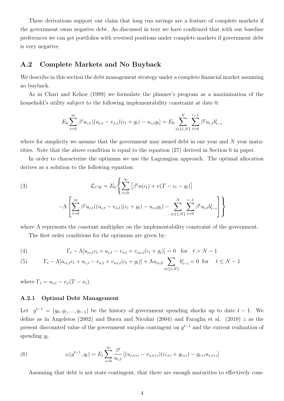These derivations support our claim that long run savings are a feature of complete markets if the government owns negative debt. As discussed in text we have confirmed that with our baseline preferences we can get portfolios with reversed positions under complete markets if government debt is very negative.

# A.2 Complete Markets and No Buyback

We describe in this section the debt management strategy under a complete financial market assuming no buyback.

As in Chari and Kehoe (1999) we formulate the planner's program as a maximization of the household's utility subject to the following implementability constraint at date 0:

$$
E_0 \sum_{t=0}^{\infty} \beta^i u_{c,t} [(u_{c,t} - v_{x,t})(c_t + g_t) - u_{c,t}g_t] = E_0 \sum_{i \in \{1, N\}}^{N} \sum_{t=0}^{i-1} \beta^t u_{c,t} b_{t-i}^i
$$

where for simplicity we assume that the government may issued debt in one year and N year maturities. Note that the above condition is equal to the equation (27) derived in Section 6 in paper.

In order to characterize the optimum we use the Lagrangian approach. The optimal allocation derives as a solution to the following equation:

(3)  

$$
\mathcal{L}_{CM} = E_0 \left\{ \sum_{t=0}^{\infty} \left[ \beta^t u(c_t) + v(T - c_t - g_t) \right] - \Lambda \left[ \sum_{t=0}^{\infty} \beta^i u_{c,t} ((u_{c,t} - v_{x,t})(c_t + g_t) - u_{c,t} g_t) - \sum_{i \in \{1, N\}}^N \sum_{t=0}^{i-1} \beta^t u_{c,t} b_{t-i}^i \right] \right\}
$$

where  $\Lambda$  represents the constant multiplier on the implementability constraint of the government.

The first order conditions for the optimum are given by:

(4) 
$$
\Gamma_t - \Lambda [u_{cc,t}c_t + u_{c,t} - v_{x,t} + v_{xx,t}(c_t + g_t)] = 0 \text{ for } t > N - 1
$$

(5) 
$$
\Gamma_t - \Lambda[u_{cc,t}c_t + u_{c,t} - v_{x,t} + v_{xx,t}(c_t + g_t)] + \Lambda u_{cc,0} \sum_{i \in \{1, N\}} b_{t-i}^i = 0 \text{ for } t \le N - 1
$$

where  $\Gamma_t = u_{c,t} - v_x(T - x_t)$ .

### A.2.1 Optimal Debt Management

Let  $g^{t-1} = (g_0, g_1, ..., g_{t-1})$  be the history of government spending shocks up to date  $t-1$ . We define as in Angeletos (2002) and Buera and Nicolini (2004) and Faraglia et al. (2010)  $z$  as the present discounted value of the government surplus contingent on  $g^{t-1}$  and the current realization of spending  $g_t$ .

(6) 
$$
z_t(g^{t-1}, g_t) = E_t \sum_{i=0}^{\infty} \frac{\beta^i}{u_{c,t}} [(u_{c,t+i} - v_{x,t+i})(c_{t+i} + g_{t+i}) - g_{t+i}u_{c,t+i}]
$$

Assuming that debt is not state contingent, that there are enough maturities to effectively com-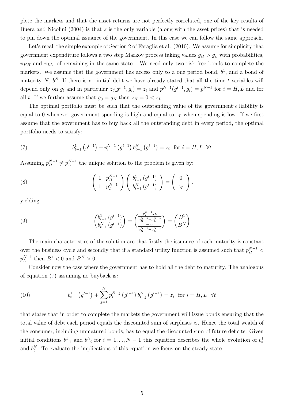plete the markets and that the asset returns are not perfectly correlated, one of the key results of Buera and Nicolini (2004) is that z is the only variable (along with the asset prices) that is needed to pin down the optimal issuance of the government. In this case we can follow the same approach.

Let's recall the simple example of Section 2 of Faraglia et al. (2010). We assume for simplicity that government expenditure follows a two step Markov process taking values  $g_H > g_L$  with probabilities,  $\pi_{HH}$  and  $\pi_{LL}$ , of remaining in the same state. We need only two risk free bonds to complete the markets. We assume that the government has access only to a one period bond,  $b<sup>1</sup>$ , and a bond of maturity N,  $b^N$ . If there is no initial debt we have already stated that all the time t variables will depend only on  $g_t$  and in particular  $z_t(g^{t-1}, g_i) = z_i$  and  $p^{N-1}(g^{t-1}, g_i) = p_i^{N-1}$  $i_i^{N-1}$  for  $i = H, L$  and for all t. If we further assume that  $g_0 = g_H$  then  $z_H = 0 < z_L$ .

The optimal portfolio must be such that the outstanding value of the government's liability is equal to 0 whenever government spending is high and equal to  $z_L$  when spending is low. If we first assume that the government has to buy back all the outstanding debt in every period, the optimal portfolio needs to satisfy:

<span id="page-60-0"></span>(7) 
$$
b_{t-1}^1(g^{t-1}) + p_i^{N-1}(g^{t-1}) b_{t-1}^N(g^{t-1}) = z_i \text{ for } i = H, L \ \forall t
$$

Assuming  $p_H^{N-1} \neq p_L^{N-1}$  $\mu_L^{N-1}$  the unique solution to the problem is given by:

<span id="page-60-1"></span>(8) 
$$
\begin{pmatrix} 1 & p_H^{N-1} \\ 1 & p_L^{N-1} \end{pmatrix} \begin{pmatrix} b_{t-1}^1(g^{t-1}) \\ b_{t-1}^N(g^{t-1}) \end{pmatrix} = \begin{pmatrix} 0 \\ z_L \end{pmatrix}.
$$

yielding

<span id="page-60-2"></span>(9) 
$$
\begin{pmatrix} b_{t-1}^1 (g^{t-1}) \ b_{t-1}^N (g^{t-1}) \end{pmatrix} = \begin{pmatrix} \frac{p_H^{N-1} z_L}{p_H^{N-1} - p_L^{N-1}} \\ \frac{-z_L}{p_H^{N-1} - p_L^{N-1}} \end{pmatrix} = \begin{pmatrix} B^1 \\ B^N \end{pmatrix}
$$

The main characteristics of the solution are that firstly the issuance of each maturity is constant over the business cycle and secondly that if a standard utility function is assumed such that  $p_H^{N-1}$  <  $p_L^{N-1}$  $L^{N-1}$  then  $B^1 < 0$  and  $B^N > 0$ .

Consider now the case where the government has to hold all the debt to maturity. The analogous of equation [\(7\)](#page-60-0) assuming no buyback is:

(10) 
$$
b_{t-1}^1(g^{t-1}) + \sum_{j=1}^N p_i^{N-j} (g^{t-1}) b_{t-j}^N (g^{t-1}) = z_i \text{ for } i = H, L \ \forall t
$$

that states that in order to complete the markets the government will issue bonds ensuring that the total value of debt each period equals the discounted sum of surpluses  $z_i$ . Hence the total wealth of the consumer, including unmatured bonds, has to equal the discounted sum of future deficits. Given initial conditions  $b_{-1}^1$  and  $b_{-i}^N$  for  $i = 1, ..., N-1$  this equation describes the whole evolution of  $b_t^1$ and  $b_t^N$ . To evaluate the implications of this equation we focus on the steady state.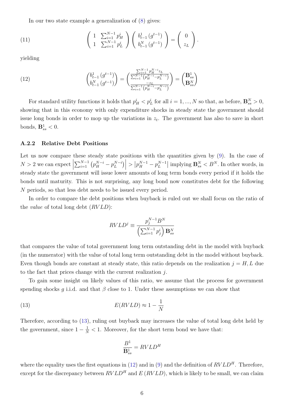In our two state example a generalization of [\(8\)](#page-60-1) gives:

(11) 
$$
\begin{pmatrix} 1 & \sum_{i=1}^{N-1} p_H^{i} \\ 1 & \sum_{i=1}^{N-1} p_L^{i} \end{pmatrix} \begin{pmatrix} b_{t-1}^{1}(g^{t-1}) \\ b_{t-1}^{N}(g^{t-1}) \end{pmatrix} = \begin{pmatrix} 0 \\ z_L \end{pmatrix}.
$$

yielding

<span id="page-61-1"></span>(12) 
$$
\begin{pmatrix} b_{t-1}^1 (g^{t-1}) \ b_{t-1}^N (g^{t-1}) \end{pmatrix} = \begin{pmatrix} \frac{\sum_{i=1}^{N-1} p_H^{N-i} z_L}{\sum_{i=1}^{N-1} (p_H^{N-i} - p_L^{N-i})} \\ \frac{-z_L}{\sum_{i=1}^{N-1} (p_H^{N-i} - p_L^{N-i})} \end{pmatrix} = \begin{pmatrix} \mathbf{B}_{ss}^1 \\ \mathbf{B}_{ss}^N \end{pmatrix}
$$

For standard utility functions it holds that  $p_H^i < p_L^i$  for all  $i = 1, ..., N$  so that, as before,  $\mathbf{B}_{ss}^N > 0$ , showing that in this economy with only expenditure shocks in steady state the government should issue long bonds in order to mop up the variations in  $z_t$ . The government has also to save in short bonds,  $\mathbf{B}^1_{ss} < 0$ .

#### A.2.2 Relative Debt Positions

Let us now compare these steady state positions with the quantities given by  $(9)$ . In the case of  $N > 2$  we can expect  $\sum_{i=1}^{N-1} (p_H^{N-i} - p_L^{N-i})$  $\begin{bmatrix} N-i \\ L \end{bmatrix}$  $> |p_{H}^{N-1} - p_{L}^{N-1}|$  $\left| \sum_{L}^{N-1} \right|$  implying  $\mathbf{B}_{ss}^{N} < B^{N}$ . In other words, in steady state the government will issue lower amounts of long term bonds every period if it holds the bonds until maturity. This is not surprising, any long bond now constitutes debt for the following N periods, so that less debt needs to be issued every period.

In order to compare the debt positions when buyback is ruled out we shall focus on the ratio of the *value* of total long debt  $(RVLD)$ :

$$
RVLD^j \equiv \frac{p_j^{N-1}B^N}{\left(\sum_{i=1}^{N-1} p_j^i\right) \mathbf{B}_{ss}^N}
$$

that compares the value of total government long term outstanding debt in the model with buyback (in the numerator) with the value of total long term outstanding debt in the model without buyback. Even though bonds are constant at steady state, this ratio depends on the realization  $j = H, L$  due to the fact that prices change with the current realization j.

To gain some insight on likely values of this ratio, we assume that the process for government spending shocks q i.i.d. and that  $\beta$  close to 1. Under these assumptions we can show that

(13) 
$$
E(RVLD) \approx 1 - \frac{1}{N}
$$

Therefore, according to [\(13\)](#page-61-0), ruling out buyback may increases the value of total long debt held by the government, since  $1 - \frac{1}{N} < 1$ . Moreover, for the short term bond we have that:

<span id="page-61-0"></span>
$$
\frac{B^1}{\mathbf{B}^1_{ss}} = RVLD^H
$$

where the equality uses the first equations in [\(12\)](#page-61-1) and in [\(9\)](#page-60-2) and the definition of  $RVLD<sup>H</sup>$ . Therefore, except for the discrepancy between  $RVLD<sup>H</sup>$  and  $E(RVLD)$ , which is likely to be small, we can claim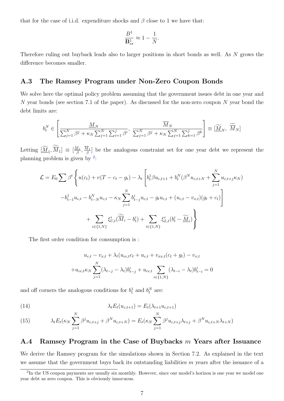that for the case of i.i.d. expenditure shocks and  $\beta$  close to 1 we have that:

$$
\frac{B^1}{\mathbf{B}^1_{ss}} \approx 1-\frac{1}{N}
$$

.

Therefore ruling out buyback leads also to larger positions in short bonds as well. As N grows the difference becomes smaller.

## A.3 The Ramsey Program under Non-Zero Coupon Bonds

We solve here the optimal policy problem assuming that the government issues debt in one year and N year bonds (see section 7.1 of the paper). As discussed for the non-zero coupon N year bond the debt limits are:

$$
b_i^N \in \left[\frac{\underline{M}_N}{\sum_{j=1}^N \beta^j + \kappa_N \sum_{j=1}^N \sum_{i=1}^j \beta^i}, \frac{\overline{M}_N}{\sum_{j=1}^N \beta^j + \kappa_N \sum_{j=1}^N \sum_{k=1}^j \beta^k}\right] \equiv \left[\underline{\widetilde{M}}_N, \ \overline{\widetilde{M}}_N\right]
$$

Letting  $[\underline{\widetilde{M}}_1, \overline{M}_1] \equiv [\frac{M_1}{\beta}]$  $\frac{M_1}{\beta}, \frac{M_1}{\beta}$  $\frac{d_1}{\beta}$  be the analogous constraint set for one year debt we represent the planning problem is given by  $2$ :

$$
\mathcal{L} = E_0 \sum \beta^t \left\{ u(c_t) + v(T - c_t - g_t) - \lambda_t \left[ b_t^1 \beta u_{c,t+1} + b_t^N (\beta^N u_{c,t+N} + \sum_{j=1}^N u_{c,t+j} \kappa_N) \right. \\ - b_{t-1}^1 u_{c,t} - b_{t-N}^N u_{c,t} - \kappa_N \sum_{j=1}^N b_{t-j}^i u_{c,t} - g_t u_{c,t} + (u_{c,t} - v_{x,t}) (g_t + c_t) \right] \\ + \sum_{i \in \{1, N\}} \xi_{U,t}^i (\widetilde{M}_i - b_t^i) + \sum_{i \in \{1, N\}} \xi_{L,t}^i (b_t^i - \widetilde{M}_i) \right\}
$$

The first order condition for consumption is :

$$
u_{c,t} - v_{x,t} + \lambda_t (u_{cc,t}c_t + u_{c,t} + v_{xx,t}(c_t + g_t) - v_{x,t}
$$

$$
+ u_{cc,t} \kappa_N \sum_{j=1}^N (\lambda_{t-j} - \lambda_t) b_{t-j}^i + u_{cc,t} \sum_{i \in \{1,N\}} (\lambda_{t-i} - \lambda_t) b_{t-i}^i = 0
$$

and off corners the analogous conditions for  $b_t^1$  and  $b_t^N$  are:

(14) 
$$
\lambda_t E_t(u_{c,t+1}) = E_t(\lambda_{t+1} u_{c,t+1})
$$

(15) 
$$
\lambda_t E_t(\kappa_N \sum_{j=1}^N \beta^j u_{c,t+j} + \beta^N u_{c,t+N}) = E_t(\kappa_N \sum_{j=1}^N \beta^j u_{c,t+j} \lambda_{t+j} + \beta^N u_{c,t+N} \lambda_{t+N})
$$

# A.4 Ramsey Program in the Case of Buybacks m Years after Issuance

We derive the Ramsey program for the simulations shown in Section 7.2. As explained in the text we assume that the government buys back its outstanding liabilities  $m$  years after the issuance of a

<span id="page-62-0"></span><sup>&</sup>lt;sup>2</sup>In the US coupon payments are usually six monthly. However, since our model's horizon is one year we model one year debt as zero coupon. This is obviously innocuous.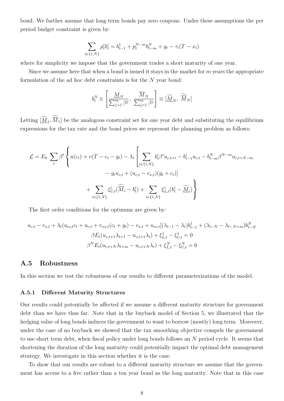bond. We further assume that long term bonds pay zero coupons. Under these assumptions the per period budget constraint is given by:

$$
\sum_{i \in \{1, N\}} p_t^i b_t^i = b_{t-1}^1 + p_t^{N-m} b_{t-m}^N + g_t - \tau_t (T - x_t)
$$

where for simplicity we impose that the government trades a short maturity of one year.

Since we assume here that when a bond is issued it stays in the market for  $m$  years the appropriate formulation of the ad hoc debt constraints is for the N year bond:

$$
b_i^N \in \left[\frac{\underline{M}_N}{\sum_{j=1}^m \beta^j}, \; \frac{\overline{M}_N}{\sum_{j=1}^m \beta^j}\right] \equiv [\widetilde{\underline{M}}_N, \; \widetilde{\overline{M}}_N]
$$

Letting  $[\underline{M}_1, M_1]$  be the analogous constraint set for one year debt and substituting the equilibrium expressions for the tax rate and the bond prices we represent the planning problem as follows:

$$
\mathcal{L} = E_0 \sum_t \beta^t \left\{ u(c_t) + v(T - c_t - g_t) - \lambda_t \left[ \sum_{i \in \{1, N\}} b_t^i \beta^i u_{c, t+i} - b_{t-1}^i u_{c, t} - b_{t-m}^N \beta^{N-m} u_{c, t+N-m} \right] - g_t u_{c, t} + (u_{c, t} - v_{x, t})(g_t + c_t) \right\}
$$

$$
+ \sum_{i \in \{1, N\}} \xi_{U, t}^i (\widetilde{M}_i - b_t^i) + \sum_{i \in \{1, N\}} \xi_{L, t}^i (b_t^i - \widetilde{M}_i) \right\}
$$

The first order conditions for the optimum are given by:

$$
u_{c,t} - v_{x,t} + \lambda_t (u_{cc,t}c_t + u_{c,t} + v_{xx,t}(c_t + g_t) - v_{x,t} + u_{cc,t}[(\lambda_{t-1} - \lambda_t)b_{t-1}^1 + (\lambda_{t-N} - \lambda_{t-N+m})b_{t-N}^N
$$

$$
\beta E_t (u_{c,t+1}\lambda_{t+1} - u_{c,t+1}\lambda_t) + \xi_{L,t}^1 - \xi_{U,t}^1 = 0
$$

$$
\beta^N E_t (u_{c,t+N}\lambda_{t+m} - u_{c,t+N}\lambda_t) + \xi_{L,t}^N - \xi_{U,t}^N = 0
$$

# A.5 Robustness

In this section we test the robustness of our results to different parameterizations of the model.

#### A.5.1 Different Maturity Structures

Our results could potentially be affected if we assume a different maturity structure for government debt than we have thus far. Note that in the buyback model of Section 5, we illustrated that the hedging value of long bonds induces the government to want to borrow (mostly) long term. Moreover, under the case of no buyback we showed that the tax smoothing objective compels the government to use short term debt, when fiscal policy under long bonds follows an N period cycle. It seems that shortening the duration of the long maturity could potentially impact the optimal debt management strategy. We investigate in this section whether it is the case.

To show that our results are robust to a different maturity structure we assume that the government has access to a five rather than a ten year bond as the long maturity. Note that in this case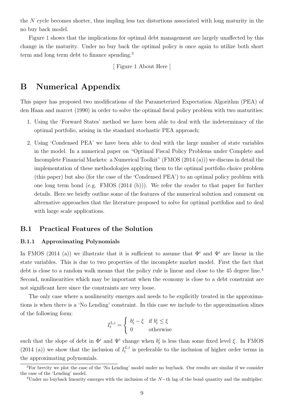the N cycle becomes shorter, thus impling less tax distortions associated with long maturity in the no buy back model.

Figure [1](#page-67-0) shows that the implications for optimal debt management are largely unaffected by this change in the maturity. Under no buy back the optimal policy is once again to utilize both short term and long term debt to finance spending.[3](#page-64-0)

[ Figure [1](#page-67-0) About Here ]

# B Numerical Appendix

This paper has proposed two modifications of the Parameterized Expectation Algorithm (PEA) of den Haan and marcet (1990) in order to solve the optimal fiscal policy problem with two maturities:

- 1. Using the 'Forward States' method we have been able to deal with the indeterminacy of the optimal portfolio, arising in the standard stochastic PEA approach;
- 2. Using 'Condensed PEA' we have been able to deal with the large number of state variables in the model. In a numerical paper on "Optimal Fiscal Policy Problems under Complete and Incomplete Financial Markets: a Numerical Toolkit" (FMOS (2014 (a))) we discuss in detail the implementation of these methodologies applying them to the optimal portfolio choice problem (this paper) but also (for the case of the 'Condensed PEA') to an optimal policy problem with one long term bond (e.g. FMOS (2014 (b))). We refer the reader to that paper for further details. Here we briefly outline some of the features of the numerical solution and comment on alternative approaches that the literature proposed to solve for optimal portfolios and to deal with large scale applications.

# B.1 Practical Features of the Solution

#### B.1.1 Approximating Polynomials

In FMOS (2014 (a)) we illustrate that it is sufficient to assume that  $\Phi^i$  and  $\Psi^i$  are linear in the state variables. This is due to two properties of the incomplete market model. First the fact that debt is close to a random walk means that the policy rule is linear and close to the [4](#page-64-1)5 degree line.<sup>4</sup> Second, nonlinearities which may be important when the economy is close to a debt constraint are not significant here since the constraints are very loose.

The only case where a nonlinearity emerges and needs to be explicitly treated in the approximations is when there is a 'No Lending' constraint. In this case we include to the approximation slines of the following form:

$$
I_t^{L,i} = \begin{cases} b_t^i - \xi & \text{if } b_t^i \le \xi \\ 0 & \text{otherwise} \end{cases}
$$

such that the slope of debt in  $\Phi^i$  and  $\Psi^i$  change when  $b_t^i$  is less than some fixed level  $\xi$ . In FMOS  $(2014)$  (a)) we show that the inclusion of  $I_t^{L,i}$  $t_t^{L,i}$  is preferable to the inclusion of higher order terms in the approximating polynomials.

<span id="page-64-0"></span><sup>&</sup>lt;sup>3</sup>For brevity we plot the case of the 'No Lending' model under no buyback. Our results are similar if we consider the case of the 'Lending' model.

<span id="page-64-1"></span> $4$ Under no buyback linearity emerges with the inclusion of the N−th lag of the bond quantity and the multiplier.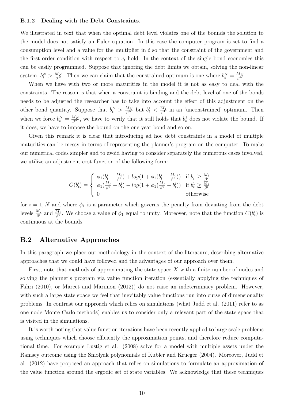#### B.1.2 Dealing with the Debt Constraints.

We illustrated in text that when the optimal debt level violates one of the bounds the solution to the model does not satisfy an Euler equation. In this case the computer program is set to find a consumption level and a value for the multiplier in t so that the constraint of the government and the first order condition with respect to  $c_t$  hold. In the context of the single bond economies this can be easily programmed. Suppose that ignoring the debt limits we obtain, solving the non-linear system,  $b_t^N > \frac{M_N}{\beta^N}$ . Then we can claim that the constrained optimum is one where  $b_t^N = \frac{M_N}{\beta^N}$ .

When we have with two or more maturities in the model it is not as easy to deal with the constraints. The reason is that when a constraint is binding and the debt level of one of the bonds needs to be adjusted the researcher has to take into account the effect of this adjustment on the other bond quantity. Suppose that  $b_t^N > \frac{M_N}{\beta^N}$  but  $b_t^1 < \frac{M_1}{\beta^1}$  $\frac{M_1}{\beta^1}$  in an 'unconstrained' optimum. Then when we force  $b_t^N = \frac{M_N}{\beta^N}$ , we have to verify that it still holds that  $b_t^1$  does not violate the bound. If it does, we have to impose the bound on the one year bond and so on.

Given this remark it is clear that introducing ad hoc debt constraints in a model of multiple maturities can be messy in terms of representing the planner's program on the computer. To make our numerical codes simpler and to avoid having to consider separately the numerous cases involved, we utilize an adjustment cost function of the following form:

$$
C(b_t^i) = \begin{cases} \phi_1(b_t^i - \frac{\overline{M}_i}{\beta^i}) + log(1 + \phi_1(b_t^i - \frac{\overline{M}_i}{\beta^i})) & \text{if } b_t^1 \ge \frac{\overline{M}_i}{\beta^i} \\ \phi_1(\frac{M_i}{\beta^i} - b_t^i) - log(1 + \phi_1(\frac{M_i}{\beta^i} - b_t^i)) & \text{if } b_t^1 \ge \frac{\overline{M}_i}{\beta^i} \\ 0 & \text{otherwise} \end{cases}
$$

for  $i = 1, N$  and where  $\phi_1$  is a parameter which governs the penalty from deviating from the debt levels  $\frac{M_i}{\beta^i}$  and  $\frac{\overline{M}_i}{\beta^i}$ . We choose a value of  $\phi_1$  equal to unity. Moreover, note that the function  $C(b_t^i)$  is continuous at the bounds.

# B.2 Alternative Approaches

In this paragraph we place our methodology in the context of the literature, describing alternative approaches that we could have followed and the advantages of our approach over them.

First, note that methods of approximating the state space X with a finite number of nodes and solving the planner's program via value function iteration (essentially applying the techniques of Fahri (2010), or Marcet and Marimon (2012)) do not raise an indeterminacy problem. However, with such a large state space we feel that inevitably value functions run into curse of dimensionality problems. In contrast our approach which relies on simulations (what Judd et al. (2011) refer to as one node Monte Carlo methods) enables us to consider only a relevant part of the state space that is visited in the simulations.

It is worth noting that value function iterations have been recently applied to large scale problems using techniques which choose efficiently the approximation points, and therefore reduce computational time. For example Lustig et al. (2008) solve for a model with multiple assets under the Ramsey outcome using the Smolyak polynomials of Kubler and Krueger (2004). Moreover, Judd et al. (2012) have proposed an approach that relies on simulations to formulate an approximation of the value function around the ergodic set of state variables. We acknowledge that these techniques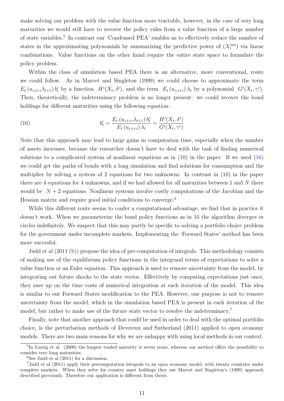make solving our problem with the value function more tractable, however, in the case of very long maturities we would still have to recover the policy rules from a value function of a large number of state variables.<sup>[5](#page-66-0)</sup> In contrast our 'Condensed PEA' enables us to effectively reduce the number of states in the approximating polynomials by summarizing the predictive power of  $(X_t^{out})$  via linear combinations. Value functions on the other hand require the entire state space to formulate the policy problem.

Within the class of simulation based PEA there is an alternative, more conventional, route we could follow. As in Marcet and Singleton (1999) we could choose to approximate the term  $E_t(u_{c,t+i}\lambda_{t+1})b_t^i$  by a function  $H^i(X_t, \delta^i)$ , and the term  $E_t(u_{c,t+i})\lambda_t$  by a polynomial  $G^i(X_t, \gamma^i)$ . Then, theoretically, the indeterminacy problem is no longer present: we could recover the bond holdings for different maturities using the following equation:

<span id="page-66-1"></span>(16) 
$$
b_t^i = \frac{E_t (u_{c,t+i} \lambda_{t+1}) b_t^i}{E_t (u_{c,t+i}) \lambda_t} = \frac{H^i (X_t, \delta^i)}{G^i (X_t, \gamma^i)}
$$

Note that this approach may lead to large gains in computation time, especially when the number of assets increases, because the researcher doesn't have to deal with the task of finding numerical solutions to a complicated system of nonlinear equations as in (10) in the paper. If we used [\(16\)](#page-66-1) we could get the paths of bonds with a long simulation and find solutions for consumption and the multiplier by solving a system of 2 equations for two unknowns. In contrast in (10) in the paper there are 4 equations for 4 unknowns, and if we had allowed for all maturities between 1 and  $N$  there would be  $N + 2$  equations. Nonlinear systems involve costly computations of the Jacobian and the Hessian matrix and require good initial conditions to converge.<sup>[6](#page-66-2)</sup>

While this different route seems to confer a computational advantage, we find that in practice it doesn't work. When we parameterize the bond policy functions as in [16](#page-66-1) the algorithm diverges or circles indefinitely. We suspect that this may partly be specific to solving a portfolio choice problem for the government under incomplete markets. Implementing the 'Forward States' method has been more succesful.

Judd et al (2011 (b)) propose the idea of pre-computation of integrals. This methodology consists of making use of the equilibrium policy functions in the integrand terms of expectations to solve a value function or an Euler equation. This approach is used to remove uncertainty from the model, by integrating out future shocks to the state vector. Effectively by computing expectations just once, they save up on the time costs of numerical integration at each iteration of the model. This idea is similar to our Forward States modification to the PEA. However, our purpose is not to remove uncertainty from the model, which in the simulation based PEA is present in each iteration of the model, but rather to make use of the future state vector to resolve the indeterminacy.<sup>[7](#page-66-3)</sup>

Finally, note that another approach that could be used in order to deal with the optimal portfolio choice, is the perturbation methods of Devereux and Sutherland (2011) applied to open economy models. There are two main reasons for why we are unhappy with using local methods in our context.

<span id="page-66-0"></span><sup>&</sup>lt;sup>5</sup>In Lustig et al. (2008) the longest traded maturity is seven years, whereas our method offers the possibility to consider very long maturities.

<span id="page-66-3"></span><span id="page-66-2"></span> ${}^{6}$ See Judd et al  $(2011)$  for a discussion.

<sup>7</sup>Judd et al (2011) apply their precomputation integrals to an open economy model, with twenty countries under complete markets. When they solve for country asset holdings they use Marcet and Singleton's (1999) approach described previously. Therefore our application is different from theirs.